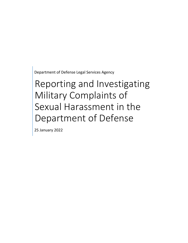Department of Defense Legal Services Agency

# Reporting and Investigating Military Complaints of Sexual Harassment in the Department of Defense

25 January 2022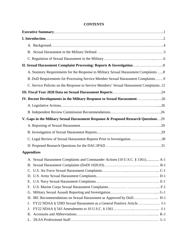| <b>CONTENTS</b> |
|-----------------|
|-----------------|

| A. Statutory Requirements for the Response to Military Sexual Harassment Complaints8   |
|----------------------------------------------------------------------------------------|
| B. DoD Requirements for Processing Service Member Sexual Harassment Complaints 9       |
| C. Service Policies on the Response to Service Members' Sexual Harassment Complaints12 |
|                                                                                        |
| IV. Recent Developments in the Military Response to Sexual Harassment26                |
|                                                                                        |
|                                                                                        |
|                                                                                        |
| V. Gaps in the Military Sexual Harassment Response & Proposed Research Questions29     |
|                                                                                        |
|                                                                                        |
| C. Legal Review of Sexual Harassment Reports Prior to Investigation30                  |
|                                                                                        |
| <b>Appendixes</b>                                                                      |
| A. Sexual Harassment Complaints and Commander Actions (10 U.S.C. § 1561) A-1           |
|                                                                                        |
|                                                                                        |
|                                                                                        |
|                                                                                        |
|                                                                                        |
|                                                                                        |
| H. IRC Recommendations on Sexual Harassment as Approved by DoD H-1                     |
| FY22 NDAA § 539D Sexual Harassment as a General Punitive Article I-1<br>I.             |
| J.                                                                                     |
|                                                                                        |
| L.                                                                                     |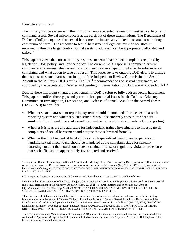#### **Executive Summary**

The military justice system is in the midst of an unprecedented review of investigative, legal, and command assets. Sexual misconduct is at the forefront of these examinations. The Department of Defense (DoD) recognizes that sexual harassment is inextricably linked to sexual assault along a continuum of harm.<sup>[1](#page-2-0)</sup> The response to sexual harassment allegations must be holistically reviewed within this larger context so that assets to address it can be appropriately allocated and tasked. $2$ 

This paper reviews the current military response to sexual harassment complaints required by legislation, DoD policy, and Service policy. The current DoD response is command driven: commanders determine whether and how to investigate an allegation, whether to substantiate a complaint, and what action to take as a result. This paper reviews ongoing DoD efforts to change the response to sexual harassment in light of the Independent Review Commission on Sexual Assault in the Military  $(IRC)^3$  $(IRC)^3$  results. The IRC<sup>[4](#page-2-3)</sup> recommendations on sexual harassment, as approved by the Secretary of Defense and pending implementation by DoD, are at Appendix H-1. $^5$  $^5$ 

Despite these important changes, gaps remain in DoD's effort to fully address sexual harassment. This paper identifies those gaps and presents three potential issues for the Defense Advisory Committee on Investigation, Prosecution, and Defense of Sexual Assault in the Armed Forces (DAC-IPAD) to consider:

- Whether sexual harassment reporting systems should be modeled after the sexual assault reporting system and whether such a structure would sufficiently account for barriers similar to those found in sexual assault cases—that prevent Service members from reporting.
- Whether it is feasible and advisable for independent, trained investigators to investigate all complaints of sexual harassment and not just those submitted formally.
- Whether the involvement of legal advisors, with specialized training and experience in handling sexual misconduct, should be mandated at the complaint stage for sexually harassing conduct that could constitute a criminal offense or regulatory violation, to ensure that such offenses are appropriately investigated and resolved.

<span id="page-2-0"></span> $\overline{a}$ <sup>1</sup> Independent Review Commission on Sexual Assault in the Military, HARD TRUTHS AND THE DUTY TO CHANGE: RECOMMENDATIONS FROM THE INDEPENDENT REVIEW COMMISSION ON SEXUAL ASSAULT IN THE MILITARY 4 (July 2021) [IRC Report], *available at* [https://media.defense.gov/2021/Jul/02/2002755437/-1/-1/0/IRC-FULL-REPORT-FINAL-1923-7-1-21.PDF/IRC-FULL-REPORT-](https://media.defense.gov/2021/Jul/02/2002755437/-1/-1/0/IRC-FULL-REPORT-FINAL-1923-7-1-21.PDF/IRC-FULL-REPORT-FINAL-1923-7-1-21.PDF)[FINAL-1923-7-1-21.PDF.](https://media.defense.gov/2021/Jul/02/2002755437/-1/-1/0/IRC-FULL-REPORT-FINAL-1923-7-1-21.PDF/IRC-FULL-REPORT-FINAL-1923-7-1-21.PDF)

<span id="page-2-1"></span><sup>2</sup> *Id*. at App. A. Appendix A contains the IRC recommendations that cut across more than one line of effort.

<span id="page-2-2"></span><sup>3</sup> Memorandum from Secretary of Defense, "Subject: Commencing DoD Actions and Implementation to Address Sexual Assault and Sexual Harassment in the Military," App. A-6 (Sept. 22, 2021) [SecDef Implementation Memo] *available at* https://media.defense.gov/2021/Sep/22/2002859809/-1/-1/0/DOD-ACTIONS-AND-IMPLEMENTATION-TO-ADDRESS-SEXUAL-ASSAULT-AND-SEXUAL-HARASSMENT-IN-THE-MILITARY.PDF.

<span id="page-2-3"></span><sup>4</sup> The Secretary of Defense established the IRC to conduct a review of sexual assault and sexual harassment in the military. Memorandum from Secretary of Defense, "Subject: Immediate Actions to Counter Sexual Assault and Harassment and the Establishment of a 90-Day Independent Review Commission on Sexual Assault in the Military" (Feb. 26, 2021) [SecDef IRC Establishment Memo], *available at* https://media.defense.gov/2021/Feb/26/2002590163/-1/-1/0/APPROVAL-OF-MEMO-DIRECTING-IMMEDIATE-ACTIONS-TO-COUNTER-SEXUAL-ASSAULT-AND-HARASSMENT.PDF.

<span id="page-2-4"></span><sup>5</sup> SecDef Implementation Memo, *supra* note 3, at App. A (Department leadership is authorized to revise the recommendations contained in Appendix A). Appendix H-1 contains selected recommendations from Appendix A of the SecDef Implementation Memo pertaining to sexual harassment.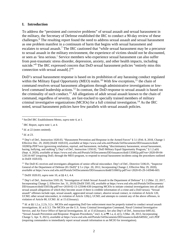#### **I. Introduction**

To address the "persistent and corrosive problems" of sexual assault and sexual harassment in the military, the Secretary of Defense established the IRC to conduct a 90-day review of these challenges. [6](#page-3-0) The resulting report found the need to address sexual assault and sexual harassment as one problem manifest in a continuum of harm that begins with sexual harassment and escalates to sexual assault.<sup>[7](#page-3-1)</sup> The IRC cautioned that "while sexual harassment may be a precursor to sexual assault in the military environment, the experience of victims should not be discounted, or seen as 'less serious.' Service members who experience sexual harassment can also suffer from post-traumatic stress disorder, depression, anxiety, and other health impacts, including suicide."<sup>[8](#page-3-2)</sup> The IRC expressed concern that DoD sexual harassment policies "entirely miss this connection with sexual assault<sup>[1,1,[9](#page-3-3)</sup>]

DoD's sexual harassment response is based on its prohibition of any harassing conduct regulated within the Military Equal Opportunity (MEO) realm.<sup>10</sup> With few exceptions,<sup>11</sup> the chain of command resolves sexual harassment allegations through administrative investigations or lowlevel command leadership actions.<sup>12</sup> In contrast, the DoD response to sexual assault is based on the criminality of such conduct.[13](#page-3-7) All allegations of adult sexual assault known to the chain of command, regardless of severity, are fast-tracked to specially trained members of military criminal investigative organizations (MCIOs) for a full criminal investigation.<sup>[14](#page-3-8)</sup> As the IRC noted, sexual harassment policies have few parallels with sexual assault policies.

<span id="page-3-3"></span><sup>9</sup> *Id*. at 23.

<span id="page-3-4"></span><sup>10</sup> Dep't of Def., Instruction 1020.03, "Harassment Prevention and Response in the Armed Forces" § 3.1 (Feb. 8, 2018, Change 1 Effective Dec. 29, 2020) [DoDI 1020.03], *available at* <https://www.esd.whs.mil/Portals/54/Documents/DD/issuances/dodi/> 102003p.PDF?vext (governing retaliation, reprisal, and harassment, including "discriminatory harassment, sexual harassment, hazing, bullying, and stalking"); Dep't of Def., Instruction 1350.02, "DoD Military Equal Opportunity Program," § 1.2.a(6) (Sept. 4, 2020), *available at* https://www.esd.whs.mil/Portals/54/Documents/DD/issuances/dodi/135002p.pdf?ver=2020-09-04- 124116-607 (requiring DoD, through the MEO program, to respond to sexual harassment incidents using the procedures outlined in DoDI 1020.03).

<span id="page-3-5"></span><sup>11</sup> The DoD IG receives and investigates allegations of senior official misconduct. Dep't of Def., Directive 5106.01, "Inspector General of the Department of Defense (IG DoD)" § 5.v (Apr. 20, 2012, Incorporating Change 2, Effective May 29, 2020), *available at* https://www.esd.whs.mil/Portals/54/Documents/DD/issuances/dodd/510601p.pdf?ver=2020-05-29-143946-603.

<span id="page-3-6"></span><sup>12</sup> DoDI 1020.03, *supra* note 10, at §§ 4.1, 4.4.

<span id="page-3-7"></span><sup>13</sup> Dep't of Def., Instruction 5505.18, "Investigation of Adult Sexual Assault in the Department of Defense" § 1.2 (Mar. 22, 2017, Incorporating Change 2, Effective Jan. 31, 2019) [DoDI 5505.18], *available at* <https://www.esd.whs.mil/Portals/54/Documents/> DD/issuances/dodi/550518p.pdf?ver=2018-02-13-125046-630 (requiring MCIOs to initiate criminal investigations into all adult sexual assault allegations of which they become aware if there is credible information of a crime and a DoD nexus). "Sexual assault" offenses include rape, sexual assault, aggravated sexual contact, abusive sexual contact, in violation of Article 120, UCMJ; other sexual misconduct, in violation of Article 120(c), UCMJ; and attempts to commit any of the above offenses, in violation of Article 80, UCMJ. *Id*. at 15 (Glossary).

<span id="page-3-8"></span><sup>14</sup> *Id.* at §§ 1.2.a, 2.2.b, 3.2.c. MCIOs and supporting DoD law enforcement must be properly trained to conduct sexual assault investigations. *Id*. at § 3.3. The MCIOs are the U.S. Army Criminal Investigation Command, Naval Criminal Investigative Service, and Air Force Office of Special Investigations. *Id*. at 15 (Glossary). *See also* Dep't of Def., Instruction 6495.02, "Sexual Assault Prevention and Response: Program Procedures," encl. 4, at ¶¶ 1.a, d, e(1), f (Mar. 28, 2013, Incorporating Change 5, Apr. 9, 2021), *available at* https://www.esd.whs.mil/Portals/54/Documents/DD/issuances/dodi/649502\_vol1.PDF (requiring commanders to immediately report sexual assault information to an MCIO for investigation).

<span id="page-3-0"></span>l <sup>6</sup> SecDef IRC Establishment Memo, *supra* note 4, at 1.

<span id="page-3-1"></span><sup>7</sup> IRC Report, *supra* note 1, at 4.

<span id="page-3-2"></span><sup>&</sup>lt;sup>8</sup> *Id.* at 22 (notes omitted).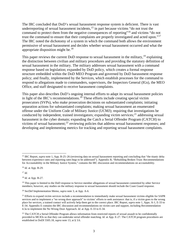The IRC concluded that DoD's sexual harassment response system is deficient. There is vast underreporting of sexual harassment incidents, $15$  in part because victims "do not trust the command to protect them from the negative consequences of reporting"[16](#page-4-1) and victims "do not trust the command to ensure that their complaints are properly investigated and acted upon."<sup>[17](#page-4-2)</sup> The IRC noted the dichotomy of a system in which the command both allows the environment permissive of sexual harassment and decides whether sexual harassment occurred and what the appropriate disposition might be.[18](#page-4-3)

This paper reviews the current DoD response to sexual harassment in the military,<sup>19</sup> explaining the distinction between civilian and military procedures and providing the statutory definition of sexual harassment in the military. The military addresses sexual harassment with a command response based on legislation; expanded by DoD policy, which creates a formal response structure embedded within the DoD MEO Program and governed by DoD harassment response policy; and finally, implemented by the Services, which establish processes for the command to respond to allegations made to commanders, supervisors, the Inspectors General (IGs), the MEO Office, and staff designated to receive harassment complaints.

This paper also describes DoD's ongoing internal efforts to adapt its sexual harassment policies in light of the IRC's recommendations.<sup>[20](#page-4-5)</sup> These efforts include creating special victim prosecutors (SVPs), who make prosecution decisions on substantiated complaints; initiating separation actions for substantiated complaints; making sexual harassment an enumerated offense under the Uniform Code of Military Justice (UCMJ); requiring that investigations be conducted by independent, trained investigators; expanding victim services; $^{21}$  $^{21}$  $^{21}$  addressing sexual harassment in the cyber domain; expanding the Catch a Serial Offender Program (CATCH) to victims of sexual harassment;[22](#page-4-7) reviewing policies that address sexual harassment responses; and developing and implementing metrics for tracking and reporting sexual harassment complaints.

<span id="page-4-2"></span> $17$  *Id.* 

<span id="page-4-3"></span><sup>18</sup> *Id*. at App. B-27.

<span id="page-4-0"></span> $\overline{a}$ <sup>15</sup> IRC Report, *supra* note 1, App. B-25–26 (reviewing data on sexual harassment reporting and concluding that "the titanic delta" between experience rates and reporting rates begs to be addressed"). Appendix B, "Rebuilding Broken Trust: Recommendations for Accountability in the Military Justice System," contains the IRC discussion and recommendations on accountability.

<span id="page-4-1"></span><sup>16</sup> *Id*. at App. B-29.

<span id="page-4-4"></span><sup>&</sup>lt;sup>19</sup> This paper is limited to the DoD response to Service member allegations of sexual harassment committed by other Service members; however, any studies on the military response to sexual harassment should include the Coast Guard response.

<span id="page-4-5"></span><sup>20</sup> SecDef Implementation Memo, *supra* note 3, at App. A-6.

<span id="page-4-6"></span> $21$  Efforts to expand victim services include a recommendation to immediately make sexual harassment victims eligible for SAPR services and to implement a "no wrong door approach" to victims' efforts to seek assistance: that is, if a victim goes to the wrong place for services, a trained contact will actively help them get to the correct place. IRC Report, *supra* note 1, Apps. A-1, E-33 to E-34. Appendix E contains the IRC discussion and recommendations on victim care and support, including Recommendation 4.3a to implement the No Wrong Door Approach. *Id*. at App. E-33 to E-34.

<span id="page-4-7"></span> $22$  The CATCH a Serial Offender Program allows information from restricted reports of sexual assault to be confidentially provided to MCIOs so that they can undertake serial offender matching. *Id*. at App. E-27. The CATCH program procedures are established in DoDI 5505.18, *supra* note 13, at § 3.6.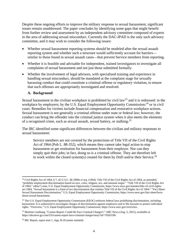Despite these ongoing efforts to improve the military response to sexual harassment, significant issues remain unaddressed. The paper concludes by identifying some gaps that might benefit from further review and assessment by an independent advisory committee composed of experts in the area of addressing sexual misconduct. Currently the DAC-IPAD is the only such advisory committee, and it may wish to consider the following issues:

- Whether sexual harassment reporting systems should be modeled after the sexual assault reporting system and whether such a structure would sufficiently account for barriers similar to those found in sexual assault cases—that prevent Service members from reporting.
- Whether it is feasible and advisable for independent, trained investigators to investigate all complaints of sexual harassment and not just those submitted formally.
- Whether the involvement of legal advisors, with specialized training and experience in handling sexual misconduct, should be mandated at the complaint stage for sexually harassing conduct that could constitute a criminal offense or regulatory violation, to ensure that such offenses are appropriately investigated and resolved.

# **A. Background**

Sexual harassment in the civilian workplace is prohibited by civil law<sup>[23](#page-5-0)</sup> and it is redressed: in the workplace by employers; by the U.S. Equal Employment Opportunity Commission;<sup>[24](#page-5-1)</sup> or in civil court. Remedies for victims include financial compensation and restorative workplace actions. Sexual harassment is not generally a criminal offense under state or federal law; however, the conduct can bring the offender into the criminal justice system when it also meets the elements of a recognized crime, such as sexual assault, sexual battery, or stalking.[25](#page-5-2)

The IRC identified some significant differences between the civilian and military responses to sexual harassment:

Service members are not covered by the protections of Title VII of the Civil Rights Act of 1964 (Pub L. 88-352), which means they cannot take legal action to stop harassment or get restitution for harassment from their employer. Nor can they simply quit their jobs; in fact, doing so is a criminal offense. They are therefore left to work within the closed system(s) created for them by DoD and/or their Service.<sup>[26](#page-5-3)</sup>

<span id="page-5-0"></span> $\overline{a}$ <sup>23</sup> Civil Rights Act of 1964, § 7, 42 U.S.C. §§ 2000e *et seq.* (1964). Title VII of the Civil Rights Act of 1964, as amended, "prohibits employment discrimination based on race, color, religion, sex, and national origin." "Title VII of the Civil Rights Act of 1964," editor's note, U.S. Equal Employment Opportunity Commission[, https://www.eeoc.gov/statutes/title-vii-civil-rights](https://www.eeoc.gov/statutes/title-vii-civil-rights-act-1964)[act-1964.](https://www.eeoc.gov/statutes/title-vii-civil-rights-act-1964) "Sexual harassment is a form of sex discrimination that violates Title VII of the Civil Rights Act of 1964." "Fact Sheet: Sexual Harassment Discrimination," U.S. Equal Employment Opportunity Commission[, https://www.eeoc.gov/fact-sheet/facts](https://www.eeoc.gov/fact-sheet/facts-about-sexual-harassment)[about-sexual-harassment.](https://www.eeoc.gov/fact-sheet/facts-about-sexual-harassment) 

<span id="page-5-1"></span><sup>&</sup>lt;sup>24</sup> The U.S. Equal Employment Opportunity Commission (EEOC) enforces federal laws prohibiting discrimination, including harassment. It is authorized to investigate charges of discrimination against employers and to file lawsuits to protect individual rights. "Overview," U.S. Equal Employment Opportunity Commission[, https://www.eeoc.gov/overview.](https://www.eeoc.gov/overview) 

<span id="page-5-2"></span><sup>25</sup> Marlene Lenthang, "Cuomo Report: Could He Face Criminal Charges?," ABC News (Aug. 5, 2021), *available at* [https://abcnews.go.com/US/cuomo-report-face-criminal-charges/story?id=79263190.](https://abcnews.go.com/US/cuomo-report-face-criminal-charges/story?id=79263190) 

<span id="page-5-3"></span><sup>26</sup> IRC Report, *supra* note 1, App. B-26 (notes omitted).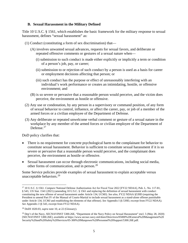#### **B. Sexual Harassment in the Military Defined**

Title 10 U.S.C. § 1561, which establishes the basic framework for the military response to sexual harassment, defines "sexual harassment" as:

- (1) Conduct (constituting a form of sex discrimination) that—
	- (A) involves unwanted sexual advances, requests for sexual favors, and deliberate or repeated offensive comments or gestures of a sexual nature when—
		- (i) submission to such conduct is made either explicitly or implicitly a term or condition of a person's job, pay, or career;
		- (ii) submission to or rejection of such conduct by a person is used as a basis for career or employment decisions affecting that person; or
		- (iii) such conduct has the purpose or effect of unreasonably interfering with an individual's work performance or creates an intimidating, hostile, or offensive environment; and
	- (B) is so severe or pervasive that a reasonable person would perceive, and the victim does perceive, the environment as hostile or offensive.
- (2) Any use or condonation, by any person in a supervisory or command position, of any form of sexual behavior to control, influence, or affect the career, pay, or job of a member of the armed forces or a civilian employee of the Department of Defense.
- (3) Any deliberate or repeated unwelcome verbal comment or gesture of a sexual nature in the workplace by any member of the armed forces or civilian employee of the Department of Defense.<sup>[27](#page-6-0)</sup>

DoD policy clarifies that:

- There is no requirement for concrete psychological harm to the complainant for behavior to constitute sexual harassment. Behavior is sufficient to constitute sexual harassment if it is so severe or pervasive that a reasonable person would perceive, and the complainant does perceive, the environment as hostile or offensive.
- Sexual harassment can occur through electronic communications, including social media, other forms of communication, and in person.[28](#page-6-1)

Some Service policies provide examples of sexual harassment to explain acceptable versus unacceptable behaviors.<sup>29</sup>

<span id="page-6-0"></span> $\overline{a}$ <sup>27</sup> 10 U.S.C. § 1561. *Compare* National Defense Authorization Act for Fiscal Year 2022 [FY22 NDAA], Pub. L. No. 117-81, § 543, 135 Stat. 1541 (2021) (amending 10 U.S.C. § 1561 and replacing the definition of sexual harassment with conduct constituting the new offense of sexual harassment under Article 134, UCMJ). *See also*, FY22 NDAA §539D (requiring the President to amend Part IV of the Manual of Courts-Martial to include sexual harassment as a stand-alone offense punishable under Article 134, UCMJ and establishing the elements of that offense). *See* Appendix I (§ 539D, excerpt from FY22 NDAA). *See* Appendix J (§ 543, excerpt from FY22 NDAA).

<span id="page-6-1"></span><sup>28</sup> DoDI 1020.03, *supra* note 10, at 22 (Glossary).

<span id="page-6-2"></span><sup>&</sup>lt;sup>29</sup> Dep't of the Navy, SECNAVINST 5300.26E, "Department of the Navy Policy on Sexual Harassment" encl. 5 (May 28, 2020) [SECNAVINST 5300.26E], *available at* [https://www.secnav.navy.mil/doni/Directives/05000%20General%20Management%](https://www.secnav.navy.mil/doni/Directives/05000%20General%20Management)20 Security%20and%20Safety%20Services/05-300%20Manpower%20Personnel%20Support/5300.26E.pdf.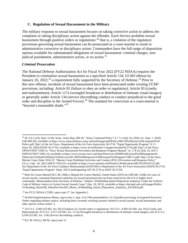#### **C. Regulation of Sexual Harassment in the Military**

The military response to sexual harassment focuses on taking corrective action to address the complaint or taking disciplinary action against the offender. Each Service prohibits sexual harassment through punitive orders or regulations:  $30$  that is, a violation of the regulatory provisions governing sexual harassment can be prosecuted at a court-martial or result in administrative corrective or disciplinary action. Commanders have the full range of disposition options available for substantiated allegations of sexual harassment: criminal charges, nonjudicial punishment, administrative action, or no action. $31$ 

#### *Criminal Prosecution*

The National Defense Authorization Act for Fiscal Year 2022 (FY22 NDAA) requires the President to criminalize sexual harassment as a specified Article 134, UCMJ offense by January 26, 2022;<sup>[32](#page-7-2)</sup> a requirement fully supported by the Secretary of Defense.<sup>[33](#page-7-3)</sup> Prior to this new offense, incidents of sexual harassment have been prosecuted under existing UCMJ provisions, including: Article 92 (failure to obey an order or regulation); Article 93 (cruelty and maltreatment); Article 117a (wrongful broadcast or distribution of intimate visual images); or generally under Article 134 (service discrediting conduct or conduct prejudicial to the good order and discipline in the Armed Forces).<sup>[34](#page-7-4)</sup> The standard for conviction at a court-martial is "beyond a reasonable doubt."[35](#page-7-5) 

<span id="page-7-0"></span> $\overline{\phantom{a}}$ <sup>30</sup> *Id.* at § 5.c(5); Dep't of the Army, Army Reg. 600-20, "Army Command Policy" § 7-7.e (July 24, 2020; rev. Sept. 1, 2020) [AR 600-20], *available at* [https://www.armyresilience.army.mil/ard/images/pdf/Policy/600-20%20Army%20Command%20](https://www.armyresilience.army.mil/ard/images/pdf/Policy/600-20%20Army%20Command) Policy.pdf; Dep't of the Air Force, Department of the Air Force Instruction 36-2710, "Equal Opportunity Program" § 2.1 (June 18, 2020) [DAFI 36-2710], *available at* [https://www.af.mil/Portals/1/images/eeo/dafi36-2710.pdf;](https://www.af.mil/Portals/1/images/eeo/dafi36-2710.pdf) Dep't of the Navy, OPNAVINST 5300.13, "Navy Sexual Harassment Prevention and Response Program Manual" ch. 1, ¶ 2.k (July 24, 2017) [OPNAVINST 5300.13], *available at* [https://www.secnav.navy.mil/doni/Directives/05000%20General%20Management%](https://www.secnav.navy.mil/doni/Directives/05000%20General%20Management%25) 20Security%20and%20Safety%20Services/05-300%20Manpower%20Personnel%20Support/5300.13.pdf; Dep't of the Navy, Marine Corps Order 5354.1F, "Marine Corps Prohibited Activities and Conduct (PAC) Prevention and Response Policy" § 6.a.1 (Apr. 20, 2021) [MCO 5354.1F], *available at* https://www.marines.mil/Portals/1/Publications/MCO%205354.1F.pdf. *See* Department of the Air Force Guidance Memorandum (DAFGM) to Department of the Air Force Instruction (DAFI) 36-2710, "Equal Opportunity Program" (Sept. 2021) (redesignating AFI 36-2710 as DAFI 36-2710).

<span id="page-7-1"></span><sup>31</sup> Rule for Courts-Martial [R.C.M.] 306(c), Manual for Courts-Martial, United States (2019 ed.) [MCM]. Unlike for cases of sexual assault, command disposition authority for sexual harassment has not been reserved for the O-6 or higher level commander. Memorandum from Secretary of Defense, "Subject: Withholding Initial Disposition Authority Under the Uniform Code of Military Justice in Certain Sexual Assault Cases" (Apr. 20, 2012), *available at* [https://dacipad.whs.mil/images/P](https://dacipad.whs.mil/images/)ublic/ 10-Reading\_Room/00\_WhatNew/SecDef\_Memo\_Withholding\_Initial\_Disposition\_Authority\_20120420.pdf.

<span id="page-7-2"></span><sup>32</sup> *See* FY22 NDAA § 539D, *supra* note 27. *See* Appendix I.

<span id="page-7-3"></span><sup>33</sup> SecDef Implementation Memo, *supra* note 3, App. A-6 ("Recommendation 1.6: Expedite processing of proposed Executive Orders regarding military justice, including those currently awaiting issuance related to sexual assault, sexual harassment, and other special victim crimes.").

<span id="page-7-4"></span><sup>34</sup> 10 U.S.C. § 892 (UCMJ, Art. 92) (Violation of a lawful order or regulation); 10 U.S.C. § 893 (UCMJ, Art. 93) (Cruelty and Maltreatment); 10 U.S.C. § 917 (UCMJ, Art. 117a) (Wrongful broadcast or distribution of intimate visual images); and 10 U.S.C. § 934 (UCMJ, Art. 134) (Service discrediting conduct).

<span id="page-7-5"></span><sup>35</sup> R.C.M. 918 (c), MCM, *supra* note 31.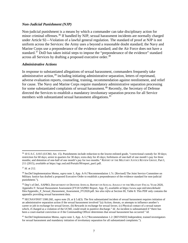#### *Non-Judicial Punishment (NJP)*

Non-judicial punishment is a means by which a commander can take disciplinary action for minor criminal offenses.[36](#page-8-0) If handled by NJP, sexual harassment incidents are normally charged under Article 92—Violation of a lawful general regulation. The standard of proof at NJP is not uniform across the Services: the Army uses a beyond a reasonable doubt standard; the Navy and Marine Corps use a preponderance of the evidence standard; and the Air Force does not have a standard.<sup>[37](#page-8-1)</sup> DoD has taken initial steps to impose the "preponderance of the evidence" standard across all Services by drafting a proposed executive order.<sup>38</sup>

#### *Administrative Actions*

In response to substantiated allegations of sexual harassment, commanders frequently take administrative action,<sup>39</sup> including initiating administrative separation, letters of reprimand, adverse evaluation reports, counseling, training, recommendation against reenlistment, and relief for cause. The Navy and Marine Corps require mandatory administrative separation processing for some substantiated complaints of sexual harassment.<sup>[40](#page-8-4)</sup> Recently, the Secretary of Defense directed the Services to establish a mandatory involuntary separation process for all Service members with substantiated sexual harassment allegations.<sup>[41](#page-8-5)</sup>

 $\overline{\phantom{a}}$ 

<span id="page-8-0"></span><sup>36</sup> 10 U.S.C. § 815 (UCMJ, Art. 15). Punishments include reduction to the lowest enlisted grade, "correctional custody for 30 days; restriction for 60 days; arrest in quarters for 30 days; extra duty for 45 days; forfeitures of one-half of one month's pay for three months; and detention of one-half of one month's pay for two months." REPORT OF THE MILITARY JUSTICE REVIEW GROUP, Part I, 211 (2015), *available at* https://ogc.osd.mil/Portals/99/report\_part1.pdf.

<span id="page-8-1"></span><sup>37</sup> *Id*. at 212.

<span id="page-8-2"></span><sup>38</sup> SecDef Implementation Memo, *supra* note 3, App. A-9 ("Recommendation 1.7c: [Revised] The Joint Service Committee on Military Justice has drafted a proposed Executive Order to establish a preponderance of the evidence standard for non-judicial punishment.").

<span id="page-8-3"></span><sup>39</sup> Dep't of Def., SAPRO, DEPARTMENT OF DEFENSE ANNUAL REPORT ON SEXUAL ASSAULT IN THE MILITARY FISCAL YEAR 2020, Appendix F: Sexual Harassment Assessment [FY20 SAPRO Report, App. F], *available at* [https://www.sapr.mil/sites/default/](https://www.sapr.mil/sites/default/%20files/Appendix_F_Sexual_Harassment_Assessment_FY2020.pdf)  [files/Appendix\\_F\\_Sexual\\_Harassment\\_Assessment\\_FY2020.pdf.](https://www.sapr.mil/sites/default/%20files/Appendix_F_Sexual_Harassment_Assessment_FY2020.pdf) *See also infra* at Section III, Table 8. This PDF only contains the appendix providing sexual harassment data.

<span id="page-8-4"></span><sup>40</sup> SECNAVINST 5300.26E, *supra* note 29, at § 5.d(3). The first substantiated incident of sexual harassment requires initiation of an administrative separation action if the sexual harassment involved "(a) Action, threats, or attempts to influence another's career or job in exchange for sexual favors. (b) Rewards in exchange for sexual favors. (c) Physical contact of a sexual nature which, if charged as a violation of the UCMJ, could result in punitive discharge." *Id*. An incident is substantiated if "there has been a court-martial conviction or if the Commanding Officer determines that sexual harassment has occurred." *Id*.

<span id="page-8-5"></span><sup>41</sup> SecDef Implementation Memo, *supra* note 3, App. A-5 ("Recommendation 1.2: [REVISED] Independent, trained investigators for sexual harassment and mandatory initiation of involuntary separation for all substantiated complaints.").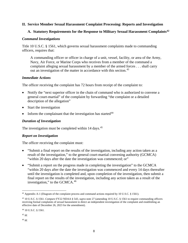# **II. Service Member Sexual Harassment Complaint Processing: Reports and Investigation**

# **A. Statutory Requirements for the Response to Military Sexual Harassment Complaints[42](#page-9-0)**

#### *Command Investigations*

Title 10 U.S.C. § 1561, which governs sexual harassment complaints made to commanding officers, requires that:

A commanding officer or officer in charge of a unit, vessel, facility, or area of the Army, Navy, Air Force, or Marine Corps who receives from a member of the command a complaint alleging sexual harassment by a member of the armed forces . . . shall carry out an investigation of the matter in accordance with this section.<sup>[43](#page-9-1)</sup>

#### *Immediate Actions*

The officer receiving the complaint has 72 hours from receipt of the complaint to:

- Notify the "next superior officer in the chain of command who is authorized to convene a general court-martial" of the complaint by forwarding "the complaint or a detailed description of the allegation"
- Start the investigation
- Inform the complainant that the investigation has started  $44$

# *Duration of Investigation*

The investigation must be completed within 14 days.<sup>[45](#page-9-3)</sup>

#### *Report on Investigation*

The officer receiving the complaint must:

- "Submit a final report on the results of the investigation, including any action taken as a result of the investigation," to the general court-martial convening authority (GCMCA) "within 20 days after the date the investigation was commenced; or"
- "Submit a report on the progress made in completing the investigation" to the GCMCA "within 20 days after the date the investigation was commenced and every 14 days thereafter until the investigation is completed and, upon completion of the investigation, then submit a final report on the results of the investigation, including any action taken as a result of the investigation," to the GCMCA.<sup>[46](#page-9-4)</sup>

<span id="page-9-3"></span><sup>45</sup> *Id.*

<span id="page-9-4"></span><sup>46</sup> *Id.*

<span id="page-9-0"></span> $\overline{a}$ <sup>42</sup> Appendix A-1 (Diagram of the complaint process and command actions required by 10 U.S.C. § 1561).

<span id="page-9-1"></span><sup>43</sup> 10 U.S.C. § 1561. *Compare* FY22 NDAA § 543, *supra* note 27 (amending 10 U.S.C. § 1561 to require commanding officers receiving formal complaints of sexual harassment to direct an independent investigation of the complaint and establishing an effective date of December 26, 2023 for the amendment).

<span id="page-9-2"></span><sup>44</sup> 10 U.S.C. § 1561.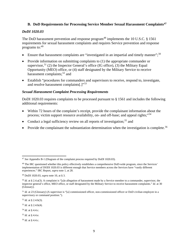# **B. DoD Requirements for Processing Service Member Sexual Harassment Complaints[47](#page-10-0)**

#### *DoDI 1020.03*

The DoD harassment prevention and response program<sup>[48](#page-10-1)</sup> implements the 10 U.S.C.  $\S$  1561 requirements for sexual harassment complaints and requires Service prevention and response programs to:[49](#page-10-2) 

- Ensure that harassment complaints are "investigated in an impartial and timely manner";<sup>[50](#page-10-3)</sup>
- Provide information on submitting complaints to (1) the appropriate commander or supervisor,  $51$  (2) the Inspector General's office (IG office), (3) the Military Equal Opportunity (MEO) office, or (4) staff designated by the Military Service to receive harassment complaints;<sup>52</sup> and
- Establish "procedures for commanders and supervisors to receive, respond to, investigate, and resolve harassment complaints[.]"<sup>[53](#page-10-6)</sup>

# *Sexual Harassment Complaint Processing Requirements*

DoDI 1020.03 requires complaints to be processed pursuant to § 1561 and includes the following additional requirements:

- Within 72 hours of the complaint's receipt, provide the complainant information about the process; victim support resource availability, on- and off-base; and appeal rights;"[54](#page-10-7)
- Conduct a legal sufficiency review on all reports of investigation;<sup>[55](#page-10-8)</sup> and
- Provide the complainant the substantiation determination when the investigation is complete.<sup>[56](#page-10-9)</sup>

<span id="page-10-5"></span><sup>52</sup> *Id.* at § 2.4.b(3).

l

<span id="page-10-6"></span><sup>53</sup> *Id.* at § 2.4.b(4).

- <span id="page-10-8"></span><sup>55</sup> *Id.* at § 4.4.e.
- <span id="page-10-9"></span><sup>56</sup> *Id*. at § 4.4.c.

<span id="page-10-0"></span><sup>47</sup> *See* Appendix B-1 (Diagram of the complaint process required by DoDI 1020.03).

<span id="page-10-1"></span><sup>&</sup>lt;sup>48</sup> The IRC questioned whether this policy effectively establishes a comprehensive DoD-wide program, since the Services' implementation of DODI 1020.03 is different enough that Service members across the Services have "vastly different experiences." IRC Report, *supra* note 1, at 28.

<span id="page-10-2"></span><sup>49</sup> DoDI 1020.03, *supra* note 10, at § 3.

<span id="page-10-3"></span><sup>&</sup>lt;sup>50</sup> *Id.* at § 2.4.a(3). A complaint is "[a]n allegation of harassment made by a Service member to a commander, supervisor, the inspector general's office, MEO office, or staff designated by the Military Service to receive harassment complaints." *Id*. at 30 (Glossary).

<span id="page-10-4"></span><sup>&</sup>lt;sup>51</sup> *Id.* at 23 (Glossary) (A supervisor is "[a] commissioned officer, non-commissioned officer or DoD civilian employee in a supervisory or command position.").

<span id="page-10-7"></span><sup>54</sup> *Id.* at § 4.4.c.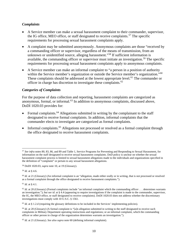# *Complaints*

- A Service member can make a sexual harassment complaint to their commander, supervisor, the IG office, MEO office, or staff designated to receive complaints.<sup>[57](#page-11-0)</sup> The specific requirements for processing sexual harassment complaints apply.
- A complaint may be submitted anonymously. Anonymous complaints are those "received by a commanding officer or supervisor, regardless of the means of transmission, from an unknown or unidentified source, alleging harassment."<sup>[58](#page-11-1)</sup> If sufficient information is available, the commanding officer or supervisor must initiate an investigation.<sup>[59](#page-11-2)</sup> The specific requirements for processing sexual harassment complaints apply to anonymous complaints.
- A Service member can make an informal complaint to "a person in a position of authority within the Service member's organization or outside the Service member's organization."<sup>[60](#page-11-3)</sup> These complaints should be addressed at the lowest appropriate level.<sup>[61](#page-11-4)</sup> The commander or officer in charge has discretion to investigate these complaints.<sup>[62](#page-11-5)</sup>

# *Categories of Complaints*

For the purpose of data collection and reporting, harassment complaints are categorized as anonymous, formal, or informal.[63](#page-11-6) In addition to anonymous complaints, discussed above, DoDI 1020.03 provides for:

- Formal complaints.[64](#page-11-7) Allegations submitted in writing by the complainant to the staff designated to receive formal complaints. In addition, informal complaints that the commander elects to investigate are categorized as formal complaints.
- Informal complaints.<sup>[65](#page-11-8)</sup> Allegations not processed or resolved as a formal complaint through the office designated to receive harassment complaints.

<span id="page-11-2"></span><sup>59</sup> *Id*. at § 4.6.

l

<span id="page-11-4"></span><sup>61</sup> *Id*. at § 4.1.

<span id="page-11-6"></span><sup>63</sup> *Id.* at § 1.2.d (requiring the glossary definitions to be included in the Services' implementing policies).

<span id="page-11-0"></span><sup>57</sup> *See infra* notes 80, 83, 86, and 89 and Table 1, Service Programs for Preventing and Responding to Sexual Harassment, for information on the staff designated to receive sexual harassment complaints. DoD policy is unclear on whether the sexual harassment complaint process is limited to sexual harassment allegations made to the individuals and organizations specified in the definition of "complaint" or pertain to any sexual harassment allegations.

<span id="page-11-1"></span><sup>58</sup> DoDI 1020.03, *supra* note 10, at 19 (Glossary).

<span id="page-11-3"></span><sup>&</sup>lt;sup>60</sup> *Id.* at 21 (Glossary) (An informal complaint is an "allegation, made either orally or in writing, that is not processed or resolved as a formal complaint through the office designated to receive harassment complaints.").

<span id="page-11-5"></span> $62$  *Id.* at 20 (Glossary) (Formal complaints include "an informal complaint which the commanding officer . . . determines warrants an investigation."); *but see id*. at § 4.4 (appearing to require investigations if the complaint is made to the commander, supervisor, the IG, the MEO office, or staff designated to receive complaints). DoDI 1020.03 does not address whether the discretionary investigations must comply with 10 U.S.C. § 1561.

<span id="page-11-7"></span><sup>&</sup>lt;sup>64</sup> *Id.* at 20 (Glossary) (A formal complaint is "[a]n allegation submitted in writing to the staff designated to receive such complaints in Military Department operating instructions and regulations; or an informal complaint, which the commanding officer or other person in charge of the organization determines warrants an investigation.").

<span id="page-11-8"></span><sup>65</sup> *Id*. at 21 (Glossary). *See also supra* note 60 (defining informal complaint).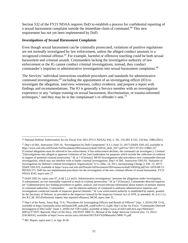Section 532 of the FY21 NDAA requires DoD to establish a process for confidential reporting of a sexual harassment complaint outside the immediate chain of command.[66](#page-12-0) This new requirement has not yet been implemented by DoD.

#### *Investigations of Sexual Harassment Complaints*

Even though sexual harassment can be criminally prosecuted, violations of punitive regulations are not normally investigated by law enforcement, unless the alleged conduct amounts to a recognized criminal offense.[67](#page-12-1) For example, harmful or offensive touching could be both sexual harassment and criminal assault. Commanders lacking the investigative authority of law enforcement or the IG cannot conduct criminal investigations; instead, they conduct commander's inquiries or administrative investigations into sexual harassment complaints. [68](#page-12-2)

The Services' individual instructions establish procedures and standards for administrative command investigations,  $69$  including the appointment of an investigating officer (IO) to investigate the allegation, interview witnesses, collect evidence, and prepare a report with findings and recommendations. The IO is generally a Service member with no investigation experience or any "unique training on sexual harassment, discrimination, or trauma-informed techniques," and they may be in the complainant's or offender's unit.[70](#page-12-4)

 $\overline{\phantom{a}}$ 

<span id="page-12-0"></span><sup>66</sup> National Defense Authorization Act for Fiscal Year 2021 [FY21 NDAA], Pub. L. No. 116-283, § 532, 134 Stat. 3388 (2021).

<span id="page-12-1"></span><sup>67</sup> Dep't of Def., Instruction 5505.16, "Investigations by DoD Components" § 3.1 (June 23, 2017) [DoDI 5505.16], *available at* [https://www.esd.whs.mil/Portals/54/Documents/DD/issuances/dodi/550516\\_dodi\\_2017.pdf?ver=2017-07-03-133802-227](https://www.esd.whs.mil/Portals/54/Documents/DD/issuances/dodi/550516_dodi_2017.pdf?ver=2017-07-03-133802-227) (Criminal allegations must be referred to law enforcement; if law enforcement declines, the command can investigate.). Criminal "[i]nvestigations into alleged or apparent violations of law [are] undertaken for purposes which include the collection of evidence in support of potential criminal prosecution." *Id*. at 7 (Glossary). MCIO Investigations take precedence over commander-directed investigations, which may not interfere with or hinder criminal investigations. Dep't of Def., Instruction 5505.03, "Initiation of Investigations by Defense Criminal Investigative Organizations" § 5.c (Mar. 24, 2011, Incorporating Change 2, Feb. 13, 2017) [DoDI 5505.03], *available at* [https://www.esd.whs.mil/Portals/54/Documents/DD/issuances/dodi/550503p.pdf?ver=2019-08-13-](https://www.esd.whs.mil/Portals/54/Documents/DD/issuances/dodi/550503p.pdf?ver=2019-08-13-083329-373) [083329-373.](https://www.esd.whs.mil/Portals/54/Documents/DD/issuances/dodi/550503p.pdf?ver=2019-08-13-083329-373) DoD has not implemented procedures for the investigation of the new criminal offense of sexual harassment. FY22 NDAA §543, *supra* note 27.

<span id="page-12-2"></span><sup>68</sup> DoDI 5505.16, *supra* note 67, at §§ 1.2.a and b. Administrative investigations "presume the allegations under investigation, if substantiated, are not reasonably expected to result in criminal prosecution." *Id*. at 7 (Glossary). Commander-directed inquiries are "[a]dministrative fact-finding procedures to gather, analyze, and record relevant information about matters of primary interest to command authorities. Commanders . . . use the inherent authority of command to authorize administrative inquiries and investigations conducted outside of inspector general channels." *Id*. Law enforcement authority is established by statute, granted by the Secretary of Defense, or provided to the Inspector General by the Inspector General Act of 1978, as amended. *Id*. at § 1.2.a. *See* R.C.M. 303 (Preliminary inquiry into reported offenses), MCM, *supra* note 31.

<span id="page-12-3"></span><sup>69</sup> Dep't of the Army, Army Reg. 15-6, "Procedures for Investigating Officers and Boards of Officers" (Apr. 1, 2016) [AR 15-6], *available at* [https://armypubs.army.mil/epubs/DR\\_pubs/DR\\_a/pdf/w](https://armypubs.army.mil/epubs/DR_pubs/DR_a/pdf/)eb/r15\_6.pdf; Dep't of the Air Force, "Commander-Directed Investigation (CDI) Guide" (June 1, 2018) [AF CDI Guide], *available at* [https://www.af.mil/LinkClick.aspx?fileticket=](https://www.af.mil/LinkClick.aspx?fileticket=%20tHPrwyT73OY=&)  [tHPrwyT73OY=&p](https://www.af.mil/LinkClick.aspx?fileticket=%20tHPrwyT73OY=&)ortali; Dep't of the Navy, JAGINST 5800.7G, *Manual of the Judge Advocate General* (Jan. 15, 2021) [JAGMAN], *available at* https://www.secnav.navy.mil/doni/SECNAV%20Manuals1/5800.7G.pdf.

<span id="page-12-4"></span><sup>70</sup> IRC Report, *supra* note 1, at App. B-28.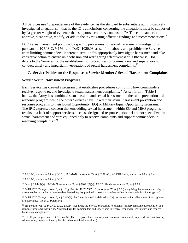All Services use "preponderance of the evidence" as the standard to substantiate administratively investigated allegations:<sup>[71](#page-13-0)</sup> that is, the IO's conclusions concerning the allegations must be supported by "a greater weight of evidence than supports a contrary conclusion."<sup>[72](#page-13-1)</sup> The commander can approve, disapprove, modify, or add to the investigating officer's findings and recommendations.<sup>73</sup>

DoD sexual harassment policy adds specific procedures for sexual harassment investigations pursuant to 10 U.S.C. § 1561 and DoDI 1020.03, as set forth above, and prohibits the Services from limiting commanders' inherent discretion "to appropriately investigate harassment and take corrective action to ensure unit cohesion and warfighting effectiveness."[74](#page-13-3) Otherwise, DoD defers to the Services for the establishment of procedures for commanders and supervisors to conduct timely and impartial investigations of sexual harassment complaints.[75](#page-13-4) 

# **C. Service Policies on the Response to Service Members' Sexual Harassment Complaints**

# *Service Sexual Harassment Programs*

Each Service has created a program that establishes procedures controlling how commanders receive, respond to, and investigate sexual harassment complaints.[76](#page-13-5) As set forth in Table 1 below, the Army has combined sexual assault and sexual harassment in the same prevention and response program, while the other Services have linked their sexual harassment prevention and response programs to their Equal Opportunity (EO) or Military Equal Opportunity programs. The IRC expressed concern that embedding sexual harassment within EO and MEO programs results in a lack of support services, because designated response personnel are not specialized in sexual harassment and "are equipped only to receive complaints and support commanders in resolving complaints."[77](#page-13-6)

<span id="page-13-0"></span> $\overline{a}$ <sup>71</sup> AR 15-6, *supra* note 69, at § 3-10.b; JAGMAN, *supra* note 69, at § 0207.a(2); AF CDI Guide, *supra* note 69, at § 1.4.

<span id="page-13-1"></span><sup>72</sup> AR 15-6, *supra* note 69, at § 3-10.b.

<span id="page-13-2"></span><sup>73</sup> *Id*. at § 2.8.b(3)(a); JAGMAN, *supra* note 69, at § 0209.f(2)(a); AF CDI Guide, *supra* note 69, at § 3.2.2.

<span id="page-13-3"></span><sup>74</sup> DoDI 1020.03, *supra* note 10, at § 1.2.g. *See also* DoDI 5505.16, *supra* note 67, at § 3.3 (recognizing the inherent authority of a commander to conduct a commander-directed inquiry provided it does not interfere with or hinder a criminal investigation).

<span id="page-13-4"></span><sup>75</sup> DoDI 1020.03, *supra* note 10, at § 2.4.b(4). An "investigation" is defined as "[a]n examination into allegations of wrongdoing or misconduct." *Id*. at 21 (Glossary).

<span id="page-13-5"></span><sup>76</sup> *See generally id*. at §§ 2.4.a, 2.4.b, 2.4.b(4) (requiring the Service Secretaries to establish military harassment prevention and response programs that include "[p]rocedures for commanders and supervisors to receive, respond to, investigate, and resolve harassment complaints").

<span id="page-13-6"></span><sup>77</sup> IRC Report, *supra* note 1, at 23, note 52 (The IRC posits that these response personnel are not able to provide victim advocacy, address safety needs, or identify helpful behavioral health services.).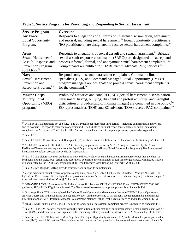| <b>Service Program</b>                                                                                           | <b>Overview</b>                                                                                                                                                                                                                                                                                                                     |
|------------------------------------------------------------------------------------------------------------------|-------------------------------------------------------------------------------------------------------------------------------------------------------------------------------------------------------------------------------------------------------------------------------------------------------------------------------------|
| <b>Air Force</b>                                                                                                 | Responds to allegations of all forms of unlawful discrimination, harassment,                                                                                                                                                                                                                                                        |
| <b>Equal Opportunity</b>                                                                                         | and reprisal, including sexual harassment. <sup>79</sup> Equal opportunity practitioners                                                                                                                                                                                                                                            |
| Program. <sup>78</sup>                                                                                           | (EO practitioners) are designated to receive sexual harassment complaints. <sup>80</sup>                                                                                                                                                                                                                                            |
| Army<br>Sexual Harassment/<br><b>Assault Response and</b><br><b>Prevention Program</b><br>(SHARP). <sup>81</sup> | Responds to allegations of sexual assault and sexual harassment. <sup>82</sup> Brigade<br>sexual assault response coordinators (SARCs) are designated to "accept and<br>process informal, formal, and anonymous sexual harassment complaints."83<br>Complainants are entitled to SHARP victim advocate (VA) services. <sup>84</sup> |
| <b>Navy</b>                                                                                                      | Responds only to sexual harassment complaints. Command climate                                                                                                                                                                                                                                                                      |
| <b>Sexual Harassment</b>                                                                                         | specialists (CCS) and Command Managed Equal Opportunity (CMEO)                                                                                                                                                                                                                                                                      |
| Prevention and                                                                                                   | program managers are designated to process sexual harassment complaints                                                                                                                                                                                                                                                             |
| Response Program. <sup>85</sup>                                                                                  | for the command. <sup>86</sup>                                                                                                                                                                                                                                                                                                      |
| <b>Marine Corps</b>                                                                                              | Prohibited activities and conduct (PAC) (sexual harassment, discrimination,                                                                                                                                                                                                                                                         |
| Military Equal                                                                                                   | harassment, hazing, bullying, dissident and protest activities, and wrongful                                                                                                                                                                                                                                                        |
| Opportunity (MEO)                                                                                                | distribution or broadcasting of intimate images) are combined in one policy. <sup>88</sup>                                                                                                                                                                                                                                          |
| program. <sup>87</sup>                                                                                           | EO representatives (EOR) and EO advisors (EOA) receive PAC complaints. <sup>89</sup>                                                                                                                                                                                                                                                |

#### **Table 1: Service Programs for Preventing and Responding to Sexual Harassment**

<span id="page-14-4"></span><sup>82</sup> *Id.* at § 7-2. Soldiers may seek guidance on how to directly address sexual harassment from sources other than the chain of command and the SARC but "actions and resolutions external to the commander or full-time brigade SARC will not be tracked or documented by the SARC, or entered into ICRS [the Integrated Case Reporting System]." *Id.* at § 7-8.b.

<span id="page-14-5"></span><sup>83</sup> *Id*. at § 7-5.y. Brigade SARCs provide assistance and support to complainants.

<span id="page-14-6"></span><sup>84</sup> Victim advocates cannot receive or process complaints. *Id*. at §§ 7-5.bb, 5.bb(1), 5.bb(15). SHARP VAs are NCOs (E-6 or higher) or DA civilians (GS-9 or higher) who provide nonclinical "crisis intervention, referrals, and ongoing emotional support" to sexual harassment victims. *Id*. at §§ 7-5.bb and bb(4).

<span id="page-14-7"></span><sup>85</sup> OPNAVINST 5300.13, *supra* note 30. If there is a conflict between OPNAVINST 5300.13 and SECNAVINST 5300.26E guidance, SECNAVINST guidance is used. The Navy sexual harassment complaint process is at Appendix E-1.

<span id="page-14-8"></span><sup>86</sup> *Id*. at App. B. (A CCS has completed the Defense Equal Opportunity Management Institute (DEOMI) Equal Opportunity Advisor Course and is the command subject matter expert on the processing of harassment, sexual harassment and unlawful discrimination; a CMEO Program Manager is a command member with at least 8 years of service and in the grade of E-6.)

<span id="page-14-9"></span><sup>87</sup> MCO 5354.1F, *supra* note 30, at § 4. The Marine Corps sexual harassment complaint process is provided at Appendix F-1.

<span id="page-14-11"></span><sup>89</sup> *Id*. at encl. 2, ch. 3, ¶¶ 14.a and b; *id*. at App. A-7 (The Equal Opportunity Advisor (EOA) is the Marine Corps subject matter expert (SME) on all PAC matters. They receive special training on "the dynamics of human relations and command climate.").

<span id="page-14-0"></span>l <sup>78</sup> DAFI 36-2710, *supra* note 30, at § 4.1.2 (The EO Practitioner must refer third parties—including commanders, supervisors, and co-workers—to report to their chain of command.). The EO office does not report these contacts as sexual harassment complaints on AF Form 1587. *Id*. at § 4.6. The Air Force sexual harassment complaint process is provided at Appendix C-1.

<span id="page-14-1"></span><sup>79</sup> *Id*. at § 1.1.

<span id="page-14-2"></span><sup>80</sup> *Id*. at § 1.3.29. EO Practitioners, staff sergeant (E-5) or above, are in the EO career field and receive EO training. *Id*. at § 8.2.1.

<span id="page-14-3"></span><sup>81</sup> AR 600-20, *supra* note 30, at §§ 7-1, 7-2. (This policy implements the Army SHARP Program, executed by the Army Resilience Directorate, and separate from the Equal Opportunity and Military Equal Opportunity Programs.) The Army sexual harassment complaint process is provided at Appendix D-1.

<span id="page-14-10"></span><sup>88</sup> *Id*. at § 3. The PAC policy recognizes wrongful distribution or broadcasting of an intimate image is also a crime under Article 117a, UCMJ, and if punitive action is pursued, the convening authority should consult with the SJA. *Id*. at encl. 2, ch. 1, ¶ 9.d.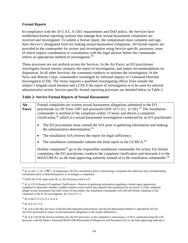# *Formal Reports*

In compliance with the 10 U.S.C. § 1561 requirements and DoD policy, the Services have established formal reporting systems that manage how sexual harassment complaints are received and investigated. To submit a formal report, the complainant must complete and sign their Service's designated form for making sexual harassment complaints. All formal reports are provided to the commander for review and investigation using Service-specific processes, none of which require coordination or consultation with the legal advisor before the commander selects an appropriate method of investigation.<sup>[90](#page-15-0)</sup>

These processes are not uniform across the Services. In the Air Force, an EO practitioner investigates formal reports, prepares the report of investigation, and makes recommendations on disposition. In all other Services, the command conducts or initiates the investigation. In the Navy and Marine Corps, commanders investigate by informal inquiry or Command Directed Investigation (CDI). The Army requires a qualified investigating officer from outside the subject's brigade-sized element and a CDI if the report of investigation is to be used for adverse administrative action. Service-specific formal reporting processes are detailed below in Table 2.

#### **Table 2: Service Formal Reports of Sexual Harassment**

| Formal complaints are written sexual harassment allegations submitted to the EO<br>Air<br>practitioner on AF Form 1587 and processed IAW 10 U.S.C. § 1561. <sup>91</sup> The installation<br><b>Force</b><br>commander is notified of the complaint within 72 hours and directs a complaint<br>clarification, $92$ which is a sexual harassment investigation conducted by an EO practitioner: |                                                                                                                                                                                                                                                                                                           |
|------------------------------------------------------------------------------------------------------------------------------------------------------------------------------------------------------------------------------------------------------------------------------------------------------------------------------------------------------------------------------------------------|-----------------------------------------------------------------------------------------------------------------------------------------------------------------------------------------------------------------------------------------------------------------------------------------------------------|
|                                                                                                                                                                                                                                                                                                                                                                                                | The EO practitioner must consult the SJA prior to gathering information and making<br>$\bullet$<br>the substantiation determination. <sup>93</sup>                                                                                                                                                        |
|                                                                                                                                                                                                                                                                                                                                                                                                | The installation SJA reviews the report for legal sufficiency.<br>$\bullet$                                                                                                                                                                                                                               |
|                                                                                                                                                                                                                                                                                                                                                                                                | The installation commander submits the final report to the GCMCA. <sup>94</sup><br>$\bullet$                                                                                                                                                                                                              |
|                                                                                                                                                                                                                                                                                                                                                                                                | Hotline complaints <sup>95</sup> go to the responsible installation commander for action. For formal<br>complaints, the EO practitioner conducts the complaint clarification and forwards it to the<br>MAJCOM/A1 as the final approving authority instead of to the installation commander. <sup>96</sup> |

<span id="page-15-0"></span>l <sup>90</sup> *Id*. at encl. 2, ch. 3, ¶¶ 7, 16 (requiring CJA/SJA consultation prior to dismissing a complaint but otherwise only recommending consultation prior to determining how to investigate a complaint).

<span id="page-15-3"></span><sup>93</sup> *Id*. at §§ 4.15.1,4.15.3, 4.15.4.

<span id="page-15-4"></span><sup>94</sup> *Id*. at § 4.27.2.4.

<span id="page-15-1"></span><sup>91</sup> DAFI 36-2710, *supra* note 30, at 132 (Glossary) and § 4.27.

<span id="page-15-2"></span><sup>92</sup> *Id*. at 132 (Glossary) (Complaint Clarification—Process of gathering information regarding a formal equal opportunity complaint to determine whether credible evidence exists and/or that unlawful discrimination has occurred."). If the complaint alleges sexual harassment and other forms of misconduct, the installation commander will refer the formal complaint to the command or the IG for investigation. *Id*. at § 4.27.2.1.

<span id="page-15-5"></span><sup>95</sup> *Id*. at § 4.28 (The Air Force Unlawful Discrimination Harassment, and Sexual Harassment Hotline is operated by EO for Air Force personnel to report sexual harassment allegations to the proper authorities.).

<span id="page-15-6"></span><sup>96</sup> *Id*. at § 4.28 (If the Service member uses the EO processes, or the complaint is anonymous, a CDI is conducted using the CDI processes with the Major Command (MAJCOM)/Directorate of Manpower and Personnel (A1) as the final approving authority.).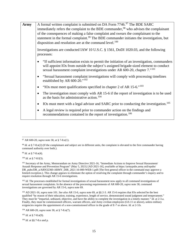| <b>Army</b> | A formal written complaint is submitted on DA Form 7746. <sup>97</sup> The BDE SARC                                                                                                                                                                                                        |  |
|-------------|--------------------------------------------------------------------------------------------------------------------------------------------------------------------------------------------------------------------------------------------------------------------------------------------|--|
|             | immediately refers the complaint to the BDE commander, <sup>98</sup> who advises the complainant                                                                                                                                                                                           |  |
|             | of the consequences of making a false complaint and swears the complainant to the                                                                                                                                                                                                          |  |
|             | statement in the formal complaint. <sup>99</sup> The BDE commander initiates the investigation, but<br>disposition and resolution are at the command level. <sup>100</sup>                                                                                                                 |  |
|             | Investigations are conducted IAW 10 U.S.C. § 1561, DoDI 1020.03, and the following<br>processes:                                                                                                                                                                                           |  |
|             | "If sufficient information exists to permit the initiation of an investigation, commanders<br>$\bullet$<br>will appoint IOs from outside the subject's assigned brigade-sized element to conduct<br>sexual harassment complaint investigations under AR 600-20, chapter 7." <sup>101</sup> |  |
|             | "Sexual harassment complaint investigations will comply with processing timelines<br>$\bullet$<br>established by AR 600-20." <sup>102</sup>                                                                                                                                                |  |
|             | "IOs must meet qualifications specified in chapter 2 of AR 15-6." <sup>103</sup><br>٠                                                                                                                                                                                                      |  |
|             | The investigation must comply with AR 15-6 if the report of investigation is to be used<br>$\bullet$<br>as the basis for administrative action. <sup>104</sup>                                                                                                                             |  |
|             | IOs must meet with a legal advisor and SARC prior to conducting the investigation. <sup>105</sup><br>$\bullet$                                                                                                                                                                             |  |
|             | A legal review is required prior to commander action on the findings and<br>$\bullet$<br>recommendations contained in the report of investigation. <sup>106</sup>                                                                                                                          |  |

<span id="page-16-2"></span><sup>99</sup> *Id*. at § 7-8.n(4).

 $\overline{\phantom{a}}$ 

<span id="page-16-3"></span><sup>100</sup> *Id*. at § 7-8.f(3).

<span id="page-16-4"></span>101 Secretary of the Army, Memorandum on Army Directive 2021-16, "Immediate Actions to Improve Sexual Harassment/ Assault Response and Prevention Program" (May 5, 2021) [AD 2021-16], *available at* <https://armypubs.army.mil/epubs/> DR\_pubs/DR\_a/ARN32360-ARMY\_DIR\_2021-16-000-WEB-1.pdf (The first general officer in the command may approve a limited exception.). This change appears to eliminate the option of resolving the complaint through commander's inquiry and to require resolution through AR 15-6 investigations.

<span id="page-16-5"></span><sup>102</sup> *Id.* The processes established for formal investigations of sexual harassment now apply to all command investigations of sexual harassment complaints. In the absence of the processing requirements of AR 600-20, *supra* note 30, command investigations are governed by AR 15-6, *supra* note 69.

<span id="page-16-6"></span><sup>103</sup> AD 2021-16, *supra* note 101. *See also* AR 15-6, *supra* note 69, at §§ 2-3. AR 15-6 requires that IOs selected be the best qualified "by reason of their education, training, experience, length of service, demonstrated sound judgment and temperament." They must be "impartial, unbiased, objective, and have the ability to complete the investigation in a timely manner." *Id*. at 2-3.a. Finally, they must be commissioned officers, warrant officers, and Army civilian employees (GS-11 or above), unless military exigencies require the appointment of a non-commissioned officer in the grade of E-7 or above. *Id*. at 2-3.b.

<span id="page-16-7"></span><sup>104</sup> AR 600-20, *supra* note 30, at § 7-8.n(7).

<span id="page-16-8"></span><sup>105</sup> *Id*. at § 7-8.n(9).

<span id="page-16-9"></span><sup>106</sup> *Id*. at §§ 7-8.o and p.

<span id="page-16-0"></span><sup>97</sup> AR 600-20, *supra* note 30, at § 7-8.e(1).

<span id="page-16-1"></span><sup>98</sup> *Id*. at § 7-8.n(2) (If the complainant and subject are in different units, the complaint is elevated to the first commander having command authority over both.).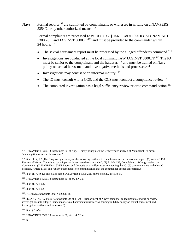| <b>Navy</b> | Formal reports <sup>107</sup> are submitted by complainants or witnesses in writing on a NAVPERS                                                                                                                                                                                                   |  |
|-------------|----------------------------------------------------------------------------------------------------------------------------------------------------------------------------------------------------------------------------------------------------------------------------------------------------|--|
|             | 5354/2 or by other authorized means. <sup>108</sup>                                                                                                                                                                                                                                                |  |
|             |                                                                                                                                                                                                                                                                                                    |  |
|             | Formal complaints are processed IAW 10 U.S.C. § 1561, DoDI 1020.03, SECNAVINST<br>5300.26E, and JAGINST 5800.7F <sup>109</sup> and must be provided to the commander within<br>24 hours. $110$                                                                                                     |  |
|             | The sexual harassment report must be processed by the alleged offender's command. <sup>111</sup><br>$\bullet$                                                                                                                                                                                      |  |
|             | Investigations are conducted at the local command IAW JAGINST 5800.7F. <sup>112</sup> The IO<br>$\bullet$<br>must be senior to the complainant and the harasser, <sup>113</sup> and must be trained on Navy<br>policy on sexual harassment and investigative methods and processes. <sup>114</sup> |  |
|             | Investigations may consist of an informal inquiry. <sup>115</sup><br>$\bullet$                                                                                                                                                                                                                     |  |
|             | The IO must consult with a CCS, and the CCS must conduct a compliance review. <sup>116</sup><br>$\bullet$                                                                                                                                                                                          |  |
|             | The completed investigation has a legal sufficiency review prior to command action. <sup>117</sup><br>$\bullet$                                                                                                                                                                                    |  |
|             |                                                                                                                                                                                                                                                                                                    |  |

<span id="page-17-4"></span><sup>111</sup> *Id*. at ch. 4, ¶ 1.g.

<span id="page-17-5"></span><sup>112</sup> *Id*. at ch. 4, ¶ 1.e.

<span id="page-17-8"></span><sup>115</sup> *Id*. at § 5.c(5).

<span id="page-17-10"></span><sup>117</sup> *Id*.

 $\overline{a}$ 

<span id="page-17-0"></span><sup>107</sup> OPNAVINST 5300.13, *supra* note 30, at App. B. Navy policy uses the term "report" instead of "complaint" to mean "an allegation of sexual harassment."

<span id="page-17-1"></span><sup>&</sup>lt;sup>108</sup> *Id.* at ch. 4, ¶ 2 (The Navy recognizes any of the following methods to file a formal sexual harassment report: (1) Article 1150, Redress of Wrong Committed by a Superior (other than the commander); (2) Article 138, Complaints of Wrongs against the Commander; (3) NAVPERS 1626/7 Report and Disposition of Offenses; (4) contacting the IG; (5) communicating with elected officials, Article 1155; and (6) any other means of communication that the commander deems appropriate.).

<span id="page-17-2"></span><sup>109</sup> *Id.* at ch. 4, ¶¶ 1.d and e. *See also* SECNAVINST 5300.26E, *supra* note 29, at § 5.b(5).

<span id="page-17-3"></span><sup>110</sup> OPNAVINST 5300.13, *supra* note 30, at ch. 4, ¶ 3.a.

<span id="page-17-6"></span><sup>113</sup> JAGMAN, *supra* note 69 at § 0206.b(1).

<span id="page-17-7"></span><sup>114</sup> SECNAVINST 5300.26E, *supra* note 29, at § 5.c(3) (Department of Navy "personnel called upon to conduct or review investigations into alleged incidents of sexual harassment must receive training in DON policy on sexual harassment and investigative methods and processes.").

<span id="page-17-9"></span><sup>116</sup> OPNAVINST 5300.13, *supra* note 30, at ch. 4, ¶ 1.e.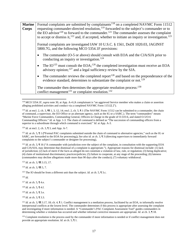| <b>Marine</b><br><b>Corps</b> | Formal complaints are submitted by complainants <sup>118</sup> on a completed NAVMC Form 11512<br>requesting commander-directed resolution, <sup>119</sup> forwarded to the subject's commander or to<br>the EO advisor <sup>120</sup> to forward to the commander. <sup>121</sup> The commander assesses the complaint<br>to accept or dismiss it, $^{122}$ and, if accepted, whether to initiate an inquiry or investigation. $^{123}$ |  |
|-------------------------------|------------------------------------------------------------------------------------------------------------------------------------------------------------------------------------------------------------------------------------------------------------------------------------------------------------------------------------------------------------------------------------------------------------------------------------------|--|
|                               | Formal complaints are investigated IAW 10 U.S.C. § 1561, DoDI 1020.03, JAGINST<br>5800.7G, and the following MCO 5354.1F provisions:                                                                                                                                                                                                                                                                                                     |  |
|                               | The commander (O-5 or above) should consult with EOA and the CJA/SJA prior to<br>conducting an inquiry or investigation. $124$                                                                                                                                                                                                                                                                                                           |  |
|                               | The IO <sup>125</sup> must consult the EOA; <sup>126</sup> the completed investigation must receive an EOA<br>advisory opinion; <sup>127</sup> and a legal sufficiency review by the SJA.                                                                                                                                                                                                                                                |  |
|                               | The commander reviews the completed report <sup>128</sup> and based on the preponderance of the<br>$\bullet$<br>evidence standard, determines to substantiate the complaint or not. <sup>129</sup>                                                                                                                                                                                                                                       |  |
|                               | The commander then determines the appropriate resolution process: 130<br>conflict management <sup>131</sup> or complaint resolution. <sup>132</sup>                                                                                                                                                                                                                                                                                      |  |

<span id="page-18-0"></span><sup>118</sup> MCO 5354.1F, *supra* note 30, at App. A-4 (A complainant is "an aggrieved Service member who makes a claim or assertion alleging prohibited activities and conduct via a completed NAVMC Form 11512[.]").

<span id="page-18-2"></span><sup>120</sup> *Id*. at encl. 2, ch. 3, ¶ 3, and App. A-7.

<span id="page-18-3"></span><sup>121</sup> *Id.* at ch. 5, ¶ 1 ("Formal PAC complaints submitted outside the chain of command to alternative agencies," such as the IG or SARC, are forwarded to the EOA for processing**.).** *See also id*. at ch. 3, ¶ 3 (directing supervisors to immediately forward complaints to the subject's commander or designee for processing)**.**

<span id="page-18-4"></span><sup>122</sup> *Id.* at ch. 3, ¶ 16 ("A commander with jurisdiction over the subject of the complaint, in consultation with the supporting EOA and CJA/SJA, may determine that dismissal of a complaint is appropriate."). Appropriate reasons for dismissal include: (1) lack of jurisdiction; (2) lack of merit if the facts as alleged do not constitute a violation of law, rule, or regulation; (3) being duplicative; (4) claim of institutional discriminatory practices/policies; (5) failure to cooperate, at any stage of the proceeding; (6) lateness (commanders may decline allegations made more than 90 days after the conduct); (7) voluntary withdrawal.

<span id="page-18-5"></span><sup>123</sup> *Id*. at ch. 3, ¶¶ 3.15, 17.

<span id="page-18-6"></span><sup>124</sup> *Id.* at ch. 3, ¶¶ 5, 7.

<span id="page-18-7"></span><sup>125</sup> The IO should be from a different unit than the subject. *Id.* at ch. 5,  $\sqrt{ }$  3.c.

<span id="page-18-8"></span><sup>126</sup> *Id*.

 $\overline{a}$ 

<span id="page-18-9"></span><sup>127</sup> *Id.* at ch. 5, ¶ 4.e.

<span id="page-18-10"></span><sup>128</sup> *Id.* at ch. 5, ¶ 4.f.

<span id="page-18-11"></span><sup>129</sup> *Id.* at ch. 5, ¶ 3.e.

<span id="page-18-12"></span><sup>130</sup> *Id*. at ch. 3, ¶ 3.3.

<span id="page-18-13"></span><sup>131</sup> *Id.* at ch. 3,  $\P$  3.17, 18; ch. 4,  $\P$  1. Conflict management is a mediation process, facilitated by an EOA, to informally resolve interpersonal conflicts at the lowest level. The commander determines if this process is appropriate after assessing the complaint and investigating if more information is needed. A "Commander's PAC Complaint Assessment Tool" guides commanders in determining whether a violation has occurred and whether informal corrective measures are appropriate. *Id.* at ch. 3, ¶ 18.

<span id="page-18-14"></span><sup>132</sup> Complaint resolution is the process used by the commander if more information is needed or if conflict management does not provide an appropriate resolution. *Id.* at ch. 5, ¶ 1.

<span id="page-18-1"></span><sup>&</sup>lt;sup>119</sup> *Id.* at encl. 2, ch. 3,  $\P$  1, 3, 12, 14; encl. 2, ch. 5,  $\P$  1 (The NAVMC Form 11512 can be submitted to a commander, the chain of command, a supervisor, the EO Office or an alternate agency, such as the IG or a SARC.). The term "commanders" means "Marine Force Commanders, Commanding General, Officers in Charge in the grade of O-5/O-6, and slated O-5/O-6 Commanding Officers." *Id*. at App. 1-3. The chain of command is defined as "The succession of commanding officers from a superior to a subordinate through which command is exercised." *Id*. at App. A-3.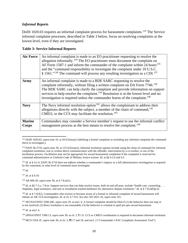# *Informal Reports*

DoDI 1020.03 requires an informal complaint process for harassment complaints.<sup>[133](#page-19-0)</sup> The Service informal complaint processes, described in Table 3 below, focus on resolving complaints at the lowest level, even if they are investigated.

#### **Table 3: Service Informal Reports**

| <b>Air Force</b>       | An informal complaint is made to an EO practitioner requesting to resolve the<br>allegation informally. <sup>134</sup> The EO practitioner must document the complaint on<br>AF Form 1587-1 and inform the commander of the complaint within 24 hours <sup>135</sup><br>and the "command responsibility to investigate the complaint under 10 U.S.C.<br>§ 1561." <sup>136</sup> The command will process any resulting investigation as a CDI. <sup>137</sup> |
|------------------------|---------------------------------------------------------------------------------------------------------------------------------------------------------------------------------------------------------------------------------------------------------------------------------------------------------------------------------------------------------------------------------------------------------------------------------------------------------------|
| Army                   | An informal complaint is made to a BDE SARC requesting to resolve the<br>complaint informally, without filing a written complaint on DA Form 7746. <sup>138</sup><br>The BDE SARC can help clarify the complaint and provide information on support<br>services to help resolve the complaint. <sup>139</sup> Resolution is at the lowest level and no<br>investigation is required unless the commander learns of the complaint. <sup>140</sup>              |
| <b>Navy</b>            | The Navy informal resolution option <sup>141</sup> allows the complainant to address their<br>allegations directly with the subject, a member of the chain of command, $142$<br>CMEO, or the CCS may facilitate the resolution. <sup>143</sup>                                                                                                                                                                                                                |
| <b>Marine</b><br>Corps | Commanders may consider a Service member's request to use the informal conflict<br>management process as the best means to resolve the complaint. <sup>144</sup>                                                                                                                                                                                                                                                                                              |

<span id="page-19-0"></span><sup>&</sup>lt;sup>133</sup> DoDI 1020.03, *supra* note 10, at 20 (Glossary) (defining a formal complaint as including any informal complaint the command elects to investigate.).

<span id="page-19-3"></span><sup>136</sup> *Id*.

 $\overline{a}$ 

<span id="page-19-4"></span><sup>137</sup> *Id*. at § 4.10.

<span id="page-19-5"></span><sup>138</sup> AR 600-20, *supra* note 30, at § 7-8.m(1).

<span id="page-19-6"></span><sup>139</sup> *Id.* at §§ 7-5.y, 7-8.m. Support services that can help resolve issues, both on and off-post, include "health care, counseling, ... chaplains, legal assistance, and unit or installation trained mediators for alternative dispute resolution." *Id*. at § 7-8.m(6)(c)2.

<span id="page-19-7"></span><sup>140</sup> *Id.* at § 7-8.f(2). Commanders who receive or become aware of a formal or informal complaint of sexual harassment will initiate an AR 15-6 investigation. *Id*. at ch. § 7-6.b. *See also* AD 2021-16, *supra* note 101.

<span id="page-19-8"></span><sup>141</sup> SECNAVINST 5300.26E, *supra* note 29, at encl. 6. A formal complaint should be filed if (1) the behavior does not stop or is not resolved; (2) direct resolution is not reasonable; (3) the behavior is criminal or quid pro quo sexual harassment.

<span id="page-19-9"></span><sup>142</sup> *Id*. at encl. 6.

<span id="page-19-1"></span><sup>134</sup> DAFI 36-2710, *supra* note 30, at 133 (Glossary). Informal resolution options include using the chain of command for informal complaint resolution, oral or written direct communication with the offender, intervention by a co-worker, or use of the facilitation process. Facilitation may not be appropriate for sexual harassment complaints if the complaint is reserved for command administrative or Uniform Code of Military Justice actions. *Id*. at §§ 4.2.4 and 4.5.

<span id="page-19-2"></span><sup>&</sup>lt;sup>135</sup> *Id.* at § 4.2.4. DAFI 36-2710 does not address whether a commander's inquiry or a full administrative investigation is required by the command, or what level of command must investigate.

<span id="page-19-10"></span><sup>143</sup> OPNAVINST 5300.13, *supra* note 30, at ch. 3, ¶ 1.b. CCS or CMEO coordination is required to document informal resolution.

<span id="page-19-11"></span><sup>&</sup>lt;sup>144</sup> MCO 5354.1F, *supra* note 30, at ch. 3,  $\P$  17 and 18, and encl. 2 ("Commander's PAC Complaint Assessment Tool").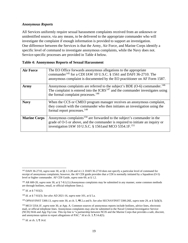#### *Anonymous Reports*

All Services uniformly require sexual harassment complaints received from an unknown or unidentified source, via any means, to be delivered to the appropriate commander who will investigate the complaint if enough information is provided to support an investigation. One difference between the Services is that the Army, Air Force, and Marine Corps identify a specific level of command to investigate anonymous complaints, while the Navy does not. Service-specific processes are provided in Table 4 below.

| <b>Table 4: Anonymous Reports of Sexual Harassment</b> |  |  |
|--------------------------------------------------------|--|--|
|--------------------------------------------------------|--|--|

| <b>Air Force</b>    | The EO Office forwards anonymous allegations to the appropriate<br>commander <sup>145</sup> for a CDI IAW 10 U.S.C. § 1561 and DAFI 36-2710. The<br>anonymous complaint is documented by the EO practitioner on AF Form 1587.               |
|---------------------|---------------------------------------------------------------------------------------------------------------------------------------------------------------------------------------------------------------------------------------------|
| Army                | Anonymous complaints are referred to the subject's BDE (O-6) commander. <sup>146</sup><br>The complaint is entered into the $ICRS147$ and the commander investigates using<br>the formal complaint processes. <sup>148</sup>                |
| <b>Navy</b>         | When the CCS or CMEO program manager receives an anonymous complaint,<br>they consult with the commander who then initiates an investigation using the<br>formal report processes. <sup>149</sup>                                           |
| <b>Marine Corps</b> | Anonymous complaints <sup>150</sup> are forwarded to the subject's commander in the<br>grade of O-5 or above, and the commander is required to initiate an inquiry or<br>investigation IAW 10 U.S.C. § 1561 and MCO 5354.1F. <sup>151</sup> |

<span id="page-20-2"></span><sup>147</sup> *Id*. at § 7-8.l(2).

l

<span id="page-20-4"></span><sup>149</sup> OPNAVINST 5300.13, *supra* note 30, at ch. 5, ¶¶ 2.a and b. *See also* SECNAVINST 5300.26E, *supra* note 29, at § 5(d)(3).

<span id="page-20-6"></span><sup>151</sup> *Id*. at ch. 3, ¶ 14.d.

<span id="page-20-0"></span><sup>145</sup> DAFI 36-2710, *supra* note 30, at §§ 1.3.28 and 4.1.3. DAFI 36-2710 does not specify a particular level of command for receipt of anonymous complaints; however, the AF CDI guide provides that a CDI is normally initiated by a Squadron (O-5) level or higher commander. AF CDI Guide, *supra* note 69, at § 1.2.

<span id="page-20-1"></span><sup>146</sup> AR 600-20, *supra* note 30, at § 7-8.l.(1) (Anonymous complaints may be submitted in any manner, some common methods are through hotlines, email, or official telephone lines.).

<span id="page-20-3"></span><sup>148</sup> *Id*. at § 7-8.l(3). *See also* AD 2021-16, *supra* note 101, at § 5.a.

<span id="page-20-5"></span><sup>150</sup> MCO 5354.1F, *supra* note 30, at App. A. Common sources of anonymous reports include hotlines, advice lines, electronic mail, or official telephone lines. Anonymous complaints may also be submitted to the Naval Criminal Investigative Service (NCIS) Web and App Tip Line. This tip line is "a partnership between NCIS and the Marine Corps that provides a safe, discreet, and anonymous option to report allegations of PAC." *Id* at ch. 3, ¶ 14.d(5).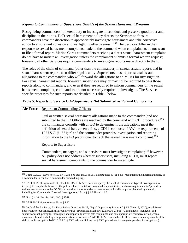#### *Reports to Commanders or Supervisors Outside of the Sexual Harassment Program*

Recognizing commanders' inherent duty to investigate misconduct and preserve good order and discipline in their units, DoD sexual harassment policy directs the Services to "ensure commanders have the discretion to appropriately investigate harassment and take corrective action to ensure unit cohesion and warfighting effectiveness."[152](#page-21-0) The Services differ in their response to sexual harassment complaints made to the command when complainants do not want to file a formal report. Marine Corps commanders receiving a direct sexual harassment complaint do not have to initiate an investigation unless the complainant submits a formal written request; however, all other Services require commanders to investigate reports made directly to them.

The roles of the chain of command (other than the commander) in sexual assault reports and in sexual harassment reports also differ significantly. Supervisors must report sexual assault allegations to the commander, who will forward the allegations to an MCIO for investigation. For sexual harassment reports, however, supervisors may or may not be required to pass those reports along to commanders; and even if they are required to inform commanders of the sexual harassment complaint, commanders are not necessarily required to investigate. The Servicespecific processes for such reports are detailed in Table 5 below.

# **Table 5: Reports to Service COs/Supervisors Not Submitted as Formal Complaints**

| <b>Air Force</b> | <b>Reports to Commanding Officers</b>                                                                                                                                                                                                                                                                                                                                                                                                                                                                                                     |
|------------------|-------------------------------------------------------------------------------------------------------------------------------------------------------------------------------------------------------------------------------------------------------------------------------------------------------------------------------------------------------------------------------------------------------------------------------------------------------------------------------------------------------------------------------------------|
|                  | Oral or written sexual harassment allegations made to the commander (and not<br>submitted to the EO Office) are resolved by the command with CDI procedures: <sup>153</sup><br>the commander consults with an EO to determine if the allegations meet the<br>definition of sexual harassment; if so, a CDI is conducted IAW the requirements of<br>10 U.S.C. § 1561; <sup>154</sup> and the commander provides investigation and reporting<br>information to the EO practitioner to track the sexual harassment complaint. <sup>155</sup> |
|                  | Reports to Supervisors                                                                                                                                                                                                                                                                                                                                                                                                                                                                                                                    |
|                  | Commanders, managers, and supervisors must investigate complaints; <sup>156</sup> however,<br>AF policy does not address whether supervisors, including NCOs, must report<br>sexual harassment complaints to the commander to investigate.                                                                                                                                                                                                                                                                                                |

<span id="page-21-0"></span><sup>152</sup> DoDI 1020.03, *supra* note 10, at § 1.2.g. *See also* DoDI 5505.16, *supra* note 67, at § 3.3 (recognizing the inherent authority of a commander to conduct a commander-directed inquiry).

l

<span id="page-21-1"></span><sup>153</sup> DAFI 36-2710, *supra* note 30, at § 4.10. DAFI 36-2710 does not specify the level of command or type of investigation to investigate complaints; however, the policy refers to unit-level command responsibilities, such as a requirement to "provide a written memorandum to the EO Office regarding the substantiation determination for all complaints handled by the unit, including for Commander Directed Investigations." *Id*. at §§ 1.3.28 and 4.1.3.

<span id="page-21-2"></span><sup>154</sup> *Id*. at § 4.10. *See also* 10 U.S.C. § 1561.

<span id="page-21-3"></span><sup>155</sup> DAFI 36-2710, *supra* note 30, at § 4.10.

<span id="page-21-4"></span><sup>156</sup> Dep't of the Air Force, Air Force Policy Directive 36-27, "Equal Opportunity Program" § 3.1 (June 18, 2020), *available at*  [https://static.e-publishing.af.mil/production/1/af\\_a1/publication/afpd36-27/afpd36-27.pdf](https://static.e-publishing.af.mil/production/1/af_a1/publication/afpd36-27/afpd36-27.pdf) ("Commanders, managers, and supervisors shall promptly, thoroughly and impartially investigate complaints, and take appropriate corrective action when a violation is found, including disciplinary action, if warranted." AFPD 36-27 requires the EO Office to advise complainants of the right to an investigation IAW 10 U.S.C. § 1561 without linking the § 1561 procedures to manger/supervisor investigations.).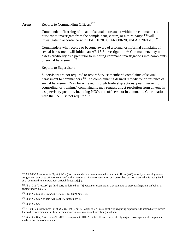| Army | Reports to Commanding Officers <sup>157</sup>                                                                                                                                                                                                                                                                                                                                                                                                                                                  |
|------|------------------------------------------------------------------------------------------------------------------------------------------------------------------------------------------------------------------------------------------------------------------------------------------------------------------------------------------------------------------------------------------------------------------------------------------------------------------------------------------------|
|      | Commanders "learning of an act of sexual harassment within the commander's<br>purview to investigate from the complainant, victim, or a third party" <sup>158</sup> will<br>investigate in accordance with DoDI 1020.03, AR 600-20, and AD 2021-16. <sup>159</sup>                                                                                                                                                                                                                             |
|      | Commanders who receive or become aware of a formal or informal complaint of<br>sexual harassment will initiate an AR 15-6 investigation. <sup>160</sup> Commanders may not<br>assess credibility as a precursor to initiating command investigations into complaints<br>of sexual harassment. <sup>161</sup>                                                                                                                                                                                   |
|      | <b>Reports to Supervisors</b>                                                                                                                                                                                                                                                                                                                                                                                                                                                                  |
|      | Supervisors are not required to report Service members' complaints of sexual<br>harassment to commanders. <sup>162</sup> If a complainant's desired remedy for an instance of<br>sexual harassment "can be achieved through leadership actions, peer intervention,<br>counseling, or training," complainants may request direct resolution from anyone in<br>a supervisory position, including NCOs and officers not in command. Coordination<br>with the SARC is not required. <sup>163</sup> |

 $\overline{a}$ 

<span id="page-22-0"></span><sup>157</sup> AR 600-20, *supra* note 30, at § 1-6.a ("A commander is a commissioned or warrant officer (WO) who, by virtue of grade and assignment, exercises primary command authority over a military organization or a prescribed territorial area that is recognized as a 'command' under pertinent official directives[.]").

<span id="page-22-1"></span><sup>&</sup>lt;sup>158</sup> *Id.* at 212 (Glossary) (A third party is defined as "[a] person or organization that attempts to present allegations on behalf of another individual.").

<span id="page-22-2"></span><sup>159</sup> *Id*. at § 7-5.o(28). *See also* AD 2021-16, *supra* note 101.

<span id="page-22-3"></span><sup>160</sup> *Id*. at § 7-6.b. *See also* AD 2021-16, *supra* note 101.

<span id="page-22-4"></span><sup>161</sup> *Id*. at § 7-6d.

<span id="page-22-5"></span><sup>162</sup> AR 600-20, *supra* note 30, at §§ 7-8.e, m(3), m(5). *Compare* § 7-9a(4), explicitly requiring supervisors to immediately inform the soldier's commander if they become aware of a sexual assault involving a soldier.

<span id="page-22-6"></span><sup>163</sup> *Id*. at § 7-8m(5). *See also* AD 2021-16, *supra* note 101. AD 2021-16 does not explicitly require investigation of complaints made to the chain of command.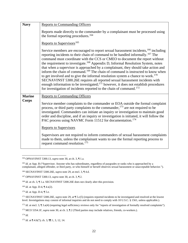| <b>Navy</b>   | <b>Reports to Commanding Officers</b>                                                                                                                                                                                                                                                                                                                                                                                                                                                                                                                                                                                                                                                                                                                                                                                                                                                                                               |
|---------------|-------------------------------------------------------------------------------------------------------------------------------------------------------------------------------------------------------------------------------------------------------------------------------------------------------------------------------------------------------------------------------------------------------------------------------------------------------------------------------------------------------------------------------------------------------------------------------------------------------------------------------------------------------------------------------------------------------------------------------------------------------------------------------------------------------------------------------------------------------------------------------------------------------------------------------------|
|               | Reports made directly to the commander by a complainant must be processed using<br>the formal reporting procedures. <sup>164</sup>                                                                                                                                                                                                                                                                                                                                                                                                                                                                                                                                                                                                                                                                                                                                                                                                  |
|               | Reports to Supervisors <sup>165</sup>                                                                                                                                                                                                                                                                                                                                                                                                                                                                                                                                                                                                                                                                                                                                                                                                                                                                                               |
|               | Service members are encouraged to report sexual harassment incidents, <sup>166</sup> including<br>reporting incidents to their chain of command to be handled informally. <sup>167</sup> The<br>command must coordinate with the CCS or CMEO to document the report without<br>the requirement to investigate. <sup>168</sup> Appendix D, Informal Resolution System, notes<br>that when a supervisor is approached by a complainant, they should take action and<br>inform the chain of command. <sup>169</sup> The chain of command is instructed to know when<br>to get involved and to give the informal resolution system a chance to work. <sup>170</sup><br>SECNAVINST 5300.26E requires all reported sexual harassment incidents with<br>enough information to be investigated; <sup>171</sup> however, it does not establish procedures<br>for investigation of incidents reported to the chain of command. <sup>172</sup> |
| <b>Marine</b> | <b>Reports to Commanding Officers</b>                                                                                                                                                                                                                                                                                                                                                                                                                                                                                                                                                                                                                                                                                                                                                                                                                                                                                               |
| Corps         | Service member complaints to the commander or EOA outside the formal complaint<br>process, or third party complaints to the commander, <sup>173</sup> are not required to be<br>investigated. Commanders can initiate an inquiry or investigation to maintain good<br>order and discipline, and if an inquiry or investigation is initiated, it will follow the<br>PAC process using NAVMC Form 11512 for documentation. <sup>174</sup>                                                                                                                                                                                                                                                                                                                                                                                                                                                                                             |
|               | <b>Reports to Supervisors</b>                                                                                                                                                                                                                                                                                                                                                                                                                                                                                                                                                                                                                                                                                                                                                                                                                                                                                                       |
|               | Supervisors are not required to inform commanders of sexual harassment complaints<br>made to them, unless the complainant wants to use the formal reporting process to<br>request command resolution. <sup>175</sup>                                                                                                                                                                                                                                                                                                                                                                                                                                                                                                                                                                                                                                                                                                                |

<span id="page-23-0"></span><sup>164</sup> OPNAVINST 5300.13, *supra* note 30, at ch. 3, ¶ 1.a.

<span id="page-23-4"></span><sup>168</sup> *Id.* at ch. 3, ¶ 1.a. SECNAVINST 5300.26E does not clearly alter this provision.

<span id="page-23-5"></span><sup>169</sup> *Id*. at App. D-4, ¶ 4.s(2).

<span id="page-23-6"></span><sup>170</sup> *Id*. at App. D-4, ¶ 5.e.

<span id="page-23-8"></span><sup>172</sup> *Id.* at encl. 3, ¶ 3.a(4) (requiring legal sufficiency reviews only for "reports of investigation of formally resolved complaints").

<span id="page-23-10"></span><sup>174</sup> *Id.*

 $\overline{\phantom{a}}$ 

<span id="page-23-11"></span><sup>175</sup> *Id.* at  $\P$  4.b(7); ch. 3,  $\P$  $\P$  1, 3, 12, 14.

<span id="page-23-1"></span><sup>165</sup> *Id*. at App. B ("Supervisor. Anyone who has subordinates, regardless of paygrades or ranks who is approached by a complainant, alleged offender, or third party, or who himself or herself observes sexual harassment or unacceptable behavior.").

<span id="page-23-2"></span><sup>166</sup> SECNAVINST 5300.26E, *supra* note 29, at encl. 3, ¶ 4.d.

<span id="page-23-3"></span><sup>167</sup> OPNAVINST 5300.13, *supra* note 30, at ch. 3, ¶ 2.

<span id="page-23-7"></span><sup>171</sup> SECNAVINST 5300.26E, *supra* note 29, at ¶ 5.c(5) (requires reported incidents to be investigated and resolved at the lowest level. Investigations may consist of informal inquiries and do not need to comply with 10 U.S.C. § 1561, unless applicable.).

<span id="page-23-9"></span><sup>&</sup>lt;sup>173</sup> MCO 5354.1F, *supra* note 30, at ch. 3,  $\mathbb{I}$  2 (Third parties may include relatives, friends, co-workers.).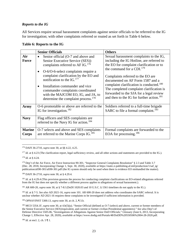# *Reports to the IG*

All Services require sexual harassment complaints against senior officials to be referred to the IG for investigation; with other complaints referred or routed as set forth in Table 6 below.

#### **Table 6: Reports to the IG**

|                        | <b>Senior Officials</b>                                                                                                                                                                                                                                                                                                                                                                                             | <b>Others</b>                                                                                                                                                                                                                                                                                                                                                                                                                                     |
|------------------------|---------------------------------------------------------------------------------------------------------------------------------------------------------------------------------------------------------------------------------------------------------------------------------------------------------------------------------------------------------------------------------------------------------------------|---------------------------------------------------------------------------------------------------------------------------------------------------------------------------------------------------------------------------------------------------------------------------------------------------------------------------------------------------------------------------------------------------------------------------------------------------|
| Air<br><b>Force</b>    | Senior official (O-7 and above and<br>$\bullet$<br>Senior Executive Service (SES))<br>complaints referred to AF IG. <sup>176</sup><br>O-6/O-6-select complaints require a<br>complaint clarification by the EO and<br>notification to the IG. $177$<br>Installation commander and vice<br>commander complaints coordinated<br>with the MAJCOM EO, IG, and JA, to<br>determine the complaint process. <sup>178</sup> | Sexual harassment complaints to the IG,<br>including the IG Hotline, are referred to<br>the EO for complaint clarification or to<br>the command for a CDI. $179$<br>Complaints referred to the EO are<br>documented on AF Form 1587 and a<br>complaint clarification is conducted. <sup>180</sup><br>The completed complaint clarification is<br>forwarded to the SJA for a legal review<br>and then to the IG for further action. <sup>181</sup> |
| Army                   | O-6 promotable or above are referred to the<br>IG for investigation. $182$                                                                                                                                                                                                                                                                                                                                          | Soldiers referred to a full-time brigade<br>SARC to file a formal complaint. <sup>183</sup>                                                                                                                                                                                                                                                                                                                                                       |
| <b>Navy</b>            | Flag officers and SES complaints are<br>referred to the Navy IG for action. <sup>184</sup>                                                                                                                                                                                                                                                                                                                          |                                                                                                                                                                                                                                                                                                                                                                                                                                                   |
| <b>Marine</b><br>Corps | O-7 selects and above and SES complaints<br>are referred to the Marine Corps IG. <sup>185</sup>                                                                                                                                                                                                                                                                                                                     | Formal complaints are forwarded to the<br>EOA for processing. <sup>186</sup>                                                                                                                                                                                                                                                                                                                                                                      |

<span id="page-24-0"></span>l <sup>176</sup> DAFI 36-2710, *supra* note 30, at §§ 4.22, 4.25.

<span id="page-24-1"></span><sup>177</sup> *Id.* at § 4.23 (The clarification report, legal sufficiency review, and all other actions and statements are provided to the IG.).

<span id="page-24-2"></span><sup>178</sup> *Id*. at § 4.24.

<span id="page-24-3"></span><sup>179</sup> Dep't of the Air Force, Air Force Instruction 90-301, "Inspector General Complaints Resolution" § 2.3 and Table 3.7 (Dec. 28, 2018, Incorporating Change 1, Sept. 30, 2020), *available at* [https://static.e-publishing.af.mil/production/1/saf\\_ig/](https://static.e-publishing.af.mil/production/1/saf_ig/%20publication/afi90-301/afi90-301.pdf)  [publication/afi90-301/afi90-301.pdf](https://static.e-publishing.af.mil/production/1/saf_ig/%20publication/afi90-301/afi90-301.pdf) (the IG system should only be used when there is evidence EO mishandled the matter).

<span id="page-24-4"></span><sup>180</sup> DAFI 36-2710, *supra* note 30, at § 4.29.4.

<span id="page-24-5"></span><sup>181</sup> *Id.* at § 4.29.4 (This provision governs the process for conducting complaint clarifications on EO-related allegations referred from the IG but does not specify whether a different process applies to allegations of sexual harassment.).

<span id="page-24-6"></span><sup>182</sup> AR 600-20, *supra* note 30, at § 7-8.l (DoDI 1020.03 and 10 U.S.C. § 1561 timelines do not apply to the IG.).

<span id="page-24-7"></span><sup>183</sup> *Id*. at § 7-5. *See also* AD 2021-16, *supra* note 101. AR 600-20 does not address who coordinates the SARC referral. It is unclear whether AD 2021-16 requires these complaints to be investigated if sufficient information is provided.

<span id="page-24-8"></span><sup>184</sup> OPNAVINST 5300.13, *supra* note 30, at ch. 2, ¶ 3.b.

<span id="page-24-9"></span><sup>185</sup> MCO 5354.1F, *supra* note 30, at 4.b(5)(a). "Senior Official (defined as O-7 (select) and above, current or former members of the Senior Executive Service (SES)/equivalent, and current or former civilian Presidential appointees)." *See also* Dep't of Defense Directive 5505.06, "Investigations of Allegations Against Senior DoD Officials," Glossary (June 6, 2013, Incorporating Change 1, Effective Apr. 28, 2020), *available at* https://www.dodig.mil/Portals/48/DoDD%20550506%2004-28-2020.pdf.

<span id="page-24-10"></span><sup>186</sup> *Id*. at encl. 2, ch. 5 ¶ 1.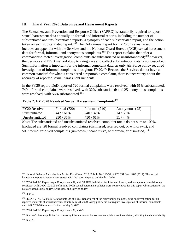#### **III. Fiscal Year 2020 Data on Sexual Harassment Reports**

The Sexual Assault Prevention and Response Office (SAPRO) is statutorily required to report sexual harassment data annually on formal and informal reports, including the number of substantiated and unsubstantiated reports, a synopsis of each substantiated report, and the action taken on each substantiated report.<sup>187</sup> The DoD annual report for  $FY20$  on sexual assault includes an appendix with the Services and the National Guard Bureau (NGB) sexual harassment data for formal, informal, and anonymous complaints.<sup>[188](#page-25-1)</sup> The report explains that after a commander-directed investigation, complaints are substantiated or unsubstantiated;<sup>189</sup> however, the Services and NGB methodology to categorize and collect substantiation data is not described. Such information is important for the informal complaint data, as only Air Force policy required investigation of informal complaints throughout FY20.[190](#page-25-3) Because the Services do not have a common standard for what is considered a reportable complaint, there is uncertainty about the accuracy of reported sexual harassment incidents.

In the FY20 report, DoD reported 720 formal complaints were resolved, with 61% substantiated; 740 informal complaints were resolved, with 32% substantiated; and 25 anonymous complaints were resolved, with 56% substantiated.<sup>[191](#page-25-4)</sup>

|  |  | Table 7: FY 2020 Resolved Sexual Harassment Complaints <sup>192</sup> |  |
|--|--|-----------------------------------------------------------------------|--|
|--|--|-----------------------------------------------------------------------|--|

| <b>FY20</b> Resolved | Formal $(720)$ | Informal $(740)$ | Anonymous (25) |
|----------------------|----------------|------------------|----------------|
| Substantiated        | 442/61%        | 240/32%          | $14/56\%$      |
| Unsubstantiated      | 250/35%        | $450/61\%$       | $11/44\%$      |

*Note:* The substantiated and unsubstantiated resolved complaint totals do not sum to 100%. Excluded are: 28 formal resolved complaints (dismissed, referred out, or withdrawn); and 50 informal resolved complaints (unknown, inconclusive, withdrawn, or dismissed).<sup>[193](#page-25-6)</sup>

<span id="page-25-2"></span><sup>189</sup> *Id.* at 2.

<span id="page-25-0"></span> $\overline{a}$ <sup>187</sup> National Defense Authorization Act for Fiscal Year 2018, Pub. L. No 115-91, § 537, 131 Stat. 1283 (2017). This sexual harassment reporting requirement started with the report required on March 1, 2020.

<span id="page-25-1"></span><sup>188</sup> FY20 SAPRO Report, App. F, *supra* note 39, at 4. SAPRO definitions for informal, formal, and anonymous complaints are consistent with DoDI 1020.03 definitions. NGB sexual harassment policies were not reviewed for this paper. Observations on the data are based solely on reviewing DoD and Service policy.

<span id="page-25-3"></span><sup>190</sup> SECNAVINST 5300.26E, *supra* note 29, at ¶5(5). Department of the Navy policy did not require an investigation for all reported incidents of sexual harassment until May 28, 2020. Army policy did not require investigation of informal complaints until AD 2021-16 became effective on May 5, 2021.

<span id="page-25-4"></span><sup>191</sup> FY20 SAPRO Report, App. F, *supra* note 39, at 4–5.

<span id="page-25-5"></span><sup>&</sup>lt;sup>192</sup> *Id.* at 4–5. Service policies for processing informal sexual harassment complaints are inconsistent, affecting the data reliability.

<span id="page-25-6"></span><sup>193</sup> *Id*. at 5.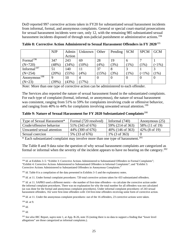DoD reported 997 corrective actions taken in FY20 for substantiated sexual harassment incidents from informal, formal, and anonymous complaints. General or special court-martial prosecutions for sexual harassment incidents were rare, only 12, with the remaining 985 substantiated sexual harassment incidents disposed of through non-judicial punishment or administrative actions.<sup>[194](#page-26-0)</sup>

|                         | <b>NJP</b>  | Admin  | Unknown  | Other    | Pending | <b>SCM</b>     | <b>SPCM</b>             | <b>GCM</b> |
|-------------------------|-------------|--------|----------|----------|---------|----------------|-------------------------|------------|
|                         |             | Action |          |          |         |                |                         |            |
| Formal <sup>196</sup>   | 347         | 243    | 69       | 28       | 19      | $\sigma$       |                         |            |
| $(N=720)$               | (48%)       | (34%)  | $(10\%)$ | (4%)     | (3%)    | $(1\%)$        | $(1\%)$                 | $(1\%)$    |
| Informal <sup>197</sup> | 51          | 140    | 11       | 37       |         |                |                         |            |
| $(N=254)$               | (20%)       | (55%)  | (4%)     | (15%)    | (3%)    | $(1\%)$        | $^{5}$ $\leq$ 1% $^{5}$ | $(1\%)$    |
| Anonymous $\sqrt{198}$  | $\mathbf Q$ | 10     | 4        | $\Omega$ |         | $\overline{0}$ |                         |            |
| $(N=23)$                | (39%)       | (43%)  | (17%)    |          |         |                |                         |            |

**Table 8: Corrective Action Administered to Sexual Harassment Offenders in FY 2020**[195](#page-26-1)

*Note:* More than one type of corrective action can be administered to each offender.

The Services also reported the nature of sexual harassment found in the substantiated complaints. For each type of complaint (formal, informal, or anonymous), the nature of sexual harassment was consistent, ranging from 51% to 59% for complaints involving crude or offensive behavior, and ranging from 40% to 44% for complaints involving unwanted sexual attention.<sup>[199](#page-26-5)</sup>

**Table 9: Nature of Sexual Harassment for FY 2020 Substantiated Complaints**[200](#page-26-6)

| Type of Sexual Harassment* | Formal (720 resolved) | Informal $(740)$  | Anonymous (25)   |
|----------------------------|-----------------------|-------------------|------------------|
| Crude/offensive behavior   | 51% (343 of 676)      | 59% (214 of 363)  | 58% (11 of 19)   |
| Unwanted sexual attention  | 44% (300 of 676)      | 40\% (146 of 363) | $42\%$ (8 of 19) |
| Sexual coercion            | 5% (33 of 676)        | 1% (3 of 363)     |                  |
|                            |                       |                   | - - -            |

 $*$  Each substantiated complaint may involve more than one type of harassment.<sup>[201](#page-26-7)</sup>

The Table 8 and 9 data raise the question of why sexual harassment complaints are categorized as formal or informal when the severity of the incident appears to have no bearing on the category.<sup>[202](#page-26-8)</sup>

<span id="page-26-5"></span><sup>199</sup> *Id*. at 9.

<span id="page-26-6"></span><sup>200</sup> *Id*.

l

<span id="page-26-7"></span><sup>201</sup> *Id*.

<span id="page-26-0"></span><sup>&</sup>lt;sup>194</sup> *Id.* at Exhibits 3–5: "Exhibit 3: Corrective Actions Administered to Substantiated Offenders in Formal Complaints"; "Exhibit 4: Corrective Actions Administered to Substantiated Offenders in Informal Complaints"; and "Exhibit 5: Corrective Actions Administered to Substantiated Offenders in Anonymous Complaints."

<span id="page-26-1"></span><sup>&</sup>lt;sup>195</sup> *Id*. Table 8 is a compilation of the data presented in Exhibits 3–5 and the explanatory notes.

<span id="page-26-2"></span><sup>&</sup>lt;sup>196</sup> *Id.* at 11. Under formal complaint procedures: 720 total corrective actions taken for 433 substantiated offenders.

<span id="page-26-3"></span><sup>&</sup>lt;sup>197</sup> *Id*. at 11. SAPRO used a different metric—the number of first-time offenders—to calculate the corrective action under the informal complaint procedures. There was no explanation for why the total number for all offenders was not calculated (as was done for the formal and anonymous complaint procedures). Under informal complaint procedures: of 243 sexual harassment offenders, 162 were first-time offenders with 134 first-time offenders receiving some form of corrective action.

<span id="page-26-4"></span><sup>&</sup>lt;sup>198</sup> *Id.* at 11. Under the anonymous complaint procedures: out of the 16 offenders, 23 corrective actions were taken.

<span id="page-26-8"></span><sup>202</sup> *See also* IRC Report, *supra* note 1, at App. B-26, note 35 (noting there is no data to support a finding that "lower level allegations" are those categorized as informal complaints.).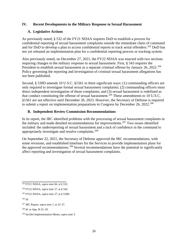# **IV. Recent Developments in the Military Response to Sexual Harassment**

# **A. Legislative Actions**

As previously noted, § 532 of the FY21 NDAA requires DoD to establish a process for confidential reporting of sexual harassment complaints outside the immediate chain of command and for DoD to develop a plan to access confidential reports to track serial offenders.<sup>[203](#page-27-0)</sup> DoD has not yet released an implementation plan for a confidential reporting process or tracking system.

Also previously noted, on December 27, 2021, the FY22 NDAA was enacted with two sections requiring changes to the military response to sexual harassment. First, § 543 requires the President to establish sexual harassment as a separate criminal offense by January 26, 2022.<sup>[204](#page-27-1)</sup> Policy governing the reporting and investigation of criminal sexual harassment allegations has not been published.

Second, § 539D amends 10 U.S.C. §1561 in three significant ways: (1) commanding officers are only required to investigate formal sexual harassment complaints; (2) commanding officers must direct independent investigation of those complaints; and (3) sexual harassment is redefined as that conduct constituting the offense of sexual harassment.<sup>205</sup> These amendments to 10 U.S.C. §1561 are not effective until December 26, 2023. However, the Secretary of Defense is required to submit a report on implementation preparations to Congress by December 26, 2022.<sup>[206](#page-27-3)</sup>

# **B. Independent Review Commission Recommendations**

In its report, the IRC identified problems with the processing of sexual harassment complaints in the military and made detailed recommendations for improvements.[207](#page-27-4) Two issues identified included: the underreporting of sexual harassment and a lack of confidence in the command to appropriately investigate and resolve complaints.[208](#page-27-5)

On September 22, 2021, the Secretary of Defense approved the IRC recommendations, with some revisions, and established timelines for the Services to provide implementation plans for the approved recommendations.[209](#page-27-6) Several recommendations have the potential to significantly affect reporting and investigation of sexual harassment complaints.

<span id="page-27-0"></span><sup>203</sup> FY21 NDAA, *supra* note 66, at § 532.

<span id="page-27-1"></span><sup>204</sup> FY22 NDAA, *supra* note 27, at § 543.

<span id="page-27-2"></span><sup>205</sup> FY22 NDAA, *supra* note 27, at § 539D.

<span id="page-27-3"></span><sup>206</sup> *Id.*

<span id="page-27-4"></span><sup>207</sup> IRC Report, *supra* note 1, at 32–37.

<span id="page-27-5"></span><sup>208</sup> *Id*. at App. B-25–29.

<span id="page-27-6"></span><sup>209</sup> SecDef Implementation Memo, *supra* note 3.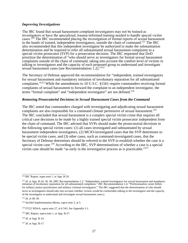#### *Improving Investigations*

The IRC found that sexual harassment complaint investigators may not be trained as investigators or have the specialized, trauma-informed training needed to handle special victim cases.<sup>210</sup> The IRC recommended placing the investigation of formal reports of sexual harassment in the hands of trained, independent investigators, outside the chain of command.<sup>[211](#page-28-0)</sup> The IRC also recommended that this independent investigator be authorized to make the substantiation determination and be required to refer all substantiated sexual harassment complaints to a special victim prosecutor (SVP) for a prosecution decision. The IRC requested that DoD prioritize the determination of "who should serve as investigators for formal sexual harassment complaints outside of the chain of command, taking into account the comfort level of victims in talking to investigators and the capacity of each proposed group to understand and investigate sexual harassment cases (see Recommendation 1.2)."<sup>[212](#page-28-1)</sup>

The Secretary of Defense approved the recommendation for "independent, trained investigators for sexual harassment and mandatory initiation of involuntary separation for all substantiated complaints."[213](#page-28-2) While the amendments to 10 U.S.C. §1561 require commanders receiving formal complaints of sexual harassment to forward the complaint to an independent investigator, the terms "formal complaint" and "independent investigator" are not defined.<sup>[214](#page-28-3)</sup>

#### *Removing Prosecutorial Decisions in Sexual Harassment Cases from the Command*

The IRC noted that commanders charged with investigating and adjudicating sexual harassment complaints are also responsible for a command climate permissive of sexual harassment.<sup>[215](#page-28-4)</sup> The IRC concluded that sexual harassment is a complex special victim crime that requires all critical case decisions to be made by a highly trained special victim prosecutor independent from the chain of command. The IRC advised that SVPs should make the prosecutorial decisions in the following special victim cases: (1) all cases investigated and substantiated by sexual harassment independent investigators, (2) MCIO-investigated cases that the SVP determines to be special victim cases, and (3) other cases, such as command-investigated cases, that the Secretary of Defense determines should be referred to the SVP to establish whether the case is a special victim case.<sup>[216](#page-28-5)</sup> According to the IRC, SVP determinations of whether a case is a special victim case should be made "as early in the investigative process as is practicable."[217](#page-28-6)

<span id="page-28-0"></span><sup>210</sup>IRC Report, supra note 1, at App. B-28.

<sup>211</sup> *Id*. at App. B-24, 30, 38. (IRC Recommendation 1.2: "Independent, trained investigators for sexual harassment and mandatory initiation of involuntary separation for all substantiated complaints." IRC Recommendation 1.4: "Professionalize career billets for military justice practitioners and military criminal investigators." The IRC suggested that the determination of who should serve as investigators should take into account whether victims would be comfortable talking to the investigator and the capacity of the investigator to understand and investigate sexual harassment cases.).

<span id="page-28-2"></span><span id="page-28-1"></span><sup>212</sup> *Id*. at 38–39.

<span id="page-28-3"></span><sup>213</sup> SecDef Implementation Memo, *supra* note 3, at 5.

<span id="page-28-4"></span><sup>214</sup> FY22 NDAA, *supra* note 27, at § 543. *See* Appendix J-1.

<span id="page-28-5"></span><sup>215</sup> IRC Report, *supra* note 1, at App. B-27.

<span id="page-28-6"></span><sup>216</sup> *Id*. at App. B-14.

<sup>217</sup> *Id*. at App. B-17.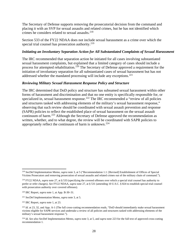The Secretary of Defense supports removing the prosecutorial decision from the command and placing it with an SVP for sexual assaults and related crimes, but he has not identified which crimes he considers related to sexual assaults.<sup>[218](#page-29-0)</sup>

Section 533 of the FY22 NDAA does not include sexual harassment as a crime over which the special trial counsel has prosecution authority.<sup>[219](#page-29-1)</sup>

# *Initiating an Involuntary Separation Action for All Substantiated Complaints of Sexual Harassment*

The IRC recommended that separation action be initiated for all cases involving substantiated sexual harassment complaints, but explained that a limited category of cases should include a process for attempted rehabilitation.<sup>[220](#page-29-2)</sup> The Secretary of Defense approved a requirement for the initiation of involuntary separation for all substantiated cases of sexual harassment but has not addressed whether the mandated processing will include any exceptions.<sup>[221](#page-29-3)</sup>

#### *Reviewing Military Sexual Harassment Response Policy and Structure*

The IRC determined that DoD policy and structure has subsumed sexual harassment within other forms of harassment and discrimination and that no one entity is specifically responsible for, or specialized in, sexual harassment response.<sup>222</sup> The IRC recommended a "review of all policies" and structures tasked with addressing elements of the military's sexual harassment response," observing that such review should be coordinated with sexual assault prevention and response (SAPR) policies to reflect the established place of sexual harassment on the sexual assault continuum of harm.<sup>223</sup> Although the Secretary of Defense approved the recommendation as written, whether, and to what degree, the review will be coordinated with SAPR policies to appropriately reflect the continuum of harm is unknown.<sup>[224](#page-29-6)</sup>

<span id="page-29-0"></span> $\overline{\phantom{a}}$ <sup>218</sup> SecDef Implementation Memo, *supra* note 3, at 5 ("Recommendation 1.1: [Revised] Establishment of Offices of Special Victims Prosecutors and removing prosecution of sexual assaults and related crimes out of the military chain of command.").

<span id="page-29-1"></span><sup>219</sup> FY22 NDAA, *supra* note 27, at § 533 (specifying the covered offenses over which a special trial counsel has authority to prefer or refer charges). *See* FY22 NDAA, *supra* note 27, at § 531 (amending 10 U.S.C. § 824 to establish special trial counsel with prosecution authority over covered offenses).

<span id="page-29-2"></span><sup>220</sup> IRC Report, *supra* note 1, at App. B-30–31.

<span id="page-29-3"></span><sup>221</sup> SecDef Implementation Memo, *supra* note 3, at 5.

<span id="page-29-4"></span><sup>222</sup> IRC Report, *supra* note 1, at 23.

<span id="page-29-5"></span><sup>&</sup>lt;sup>223</sup> *Id.* at 23, 32, and App. A-1 (The full cross-cutting recommendation reads, "DoD should immediately make sexual harassment victims eligible for SAPR services and undertake a review of all policies and structures tasked with addressing elements of the military's sexual harassment response.").

<span id="page-29-6"></span><sup>224</sup> *Id*. *See also* SecDef Implementation Memo, *supra* note 3, at 5, and *supra* note 223 for the full text of approved cross-cutting recommendation 1.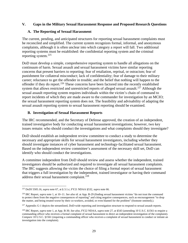# **V. Gaps in the Military Sexual Harassment Response and Proposed Research Questions**

# **A. The Reporting of Sexual Harassment**

The current, pending, and anticipated structures for reporting sexual harassment complaints must be reconciled and simplified. The current system recognizes formal, informal, and anonymous complaints, although it is often unclear into which category a report will fall. Two additional reporting systems must be established: the confidential reporting system and the criminal reporting system.[225](#page-30-0)

DoD must develop a simple, comprehensive reporting system to handle all allegations on the continuum of harm. Sexual assault and sexual harassment victims have similar reporting concerns that present barriers to reporting: fear of retaliation, reprisal, or ostracism; fear of punishment for collateral misconduct; lack of confidentiality; fear of damage to their military career; reluctance to get the offender in trouble; and the belief that nothing will happen to the offender if they do report.<sup>[226](#page-30-1)</sup> These concerns have been factored into the recently established system that allows restricted and unrestricted reports of alleged sexual assault.<sup>[227](#page-30-2)</sup> Although the sexual assault reporting system requires individuals within the victim's chain of command to report incidents of which they are made aware to the commander for investigation by an MCIO; the sexual harassment reporting system does not. The feasibility and advisability of adapting the sexual assault reporting system to sexual harassment reporting should be examined.

#### **B. Investigation of Sexual Harassment Reports**

The IRC recommended, and the Secretary of Defense approved, the creation of an independent, trained investigative body for conducting sexual harassment investigations; however, two key issues remain: who should conduct the investigations and what complaints should they investigate?

DoD should establish an independent review committee to conduct a study to determine the necessary and appropriate skills for sexual harassment investigators, including whether they should investigate instances of cyber harassment and technology-facilitated sexual harassment. Based on the independent review committee's assessment of the necessary skill set, DoD can identify who should conduct the investigations.

A committee independent from DoD should review and assess whether the independent, trained investigators should be authorized and required to investigate all sexual harassment complaints. The IRC suggests allowing the victim the choice of filing a formal report of sexual harassment that triggers a full investigation by the independent, trained investigator or having their command address their sexual harassment complaint. $^{228}$  $^{228}$  $^{228}$ 

<span id="page-30-0"></span> $\overline{\phantom{a}}$ <sup>225</sup> DoDI 5505.16, *supra* note 67, at § 3.1.c; FY21 NDAA §532, *supra* note 66.

<span id="page-30-1"></span><sup>226</sup> IRC Report, *supra* note 1, at 10–11. *See also id*. at App. B-29 (finding sexual harassment victims "do not trust the command to protect them from the negative consequences of reporting" and citing negative consequences, such as encouragement "to drop the matter, and being treated worse by their co-workers, avoided, or even blamed for the problem" (footnote omitted).).

<span id="page-30-2"></span><sup>&</sup>lt;sup>227</sup> Appendix G-1 depicts the streamlined, DoD-wide reporting and investigation structure to respond to sexual assault reports.

<span id="page-30-3"></span><sup>228</sup> IRC Report, *supra* note 1, at App. B-30. *See also*, FY22 NDAA, *supra* note 27, at §543 (amending 10 U.S.C. §1561 to require a commanding officer who receives a formal complaint of sexual harassment to direct an independent investigation of the complaint). *Compare* 10 U.S.C. §1561 (requiring a commanding officer who receives a complaint of sexual harassment to conduct or initiate an investigation into the complaint).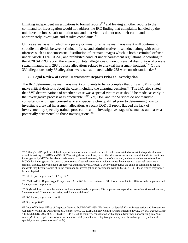Limiting independent investigations to formal reports<sup>[229](#page-31-0)</sup> and leaving all other reports to the command for investigation would not address the IRC finding that complaints handled by the unit have the lowest substantiation rate and that victims do not trust their command to appropriately investigate and resolve complaints.<sup>[230](#page-31-1)</sup>

Unlike sexual assault, which is a purely criminal offense, sexual harassment will continue to straddle the divide between criminal offense and administrative misconduct, along with other offenses such as nonconsensual distribution of intimate images which is both a criminal offense under Article 117a, UCMJ, and prohibited conduct under harassment regulations. According to the 2020 SAPRO report, there were 331 total allegations of nonconsensual distribution of private sexual images, with 293 of those allegations related to a sexual harassment incident.<sup>[231](#page-31-2)</sup> Of the 331 allegations, only 33 allegations were substantiated, while 258 were unsubstantiated.<sup>[232](#page-31-3)</sup>

# **C. Legal Review of Sexual Harassment Reports Prior to Investigation**

The IRC determined sexual harassment complaints to be so complex that only an SVP should make critical decisions about the case, including the charging decision.<sup>[233](#page-31-4)</sup> The IRC also stated that SVP determinations of whether a case was a special victim case should be made "as early in the investigative process as is practicable."[234](#page-31-5) Yet, DoD and the Services do not mandate consultation with legal counsel who are special victim qualified prior to determining how to investigate a sexual harassment allegation. A recent DoD IG report flagged the lack of involvement by specially trained prosecutors at the investigative stage of sexual assault cases as potentially detrimental to those investigations.[235](#page-31-6)

<span id="page-31-4"></span><sup>233</sup> IRC Report, *supra* note 1, at 19.

<span id="page-31-5"></span><sup>234</sup> *Id*. at App. B-17.

 $\overline{\phantom{a}}$ 

<span id="page-31-0"></span><sup>&</sup>lt;sup>229</sup> Although SAPR policy establishes procedures for sexual assault victims to make unrestricted or restricted reports of sexual assault in writing to SARCs and SAPR VAs using the official form, most other disclosures of sexual assault incidents result in an investigation by MCIOs. Incidents made known to law enforcement, the chain of command, and commanders are referred to MCIOs for investigation. In contrast, because not all sexual harassment incidents meet the elements of a sexual harassment criminal offense, many incidents are resolved administratively. Absent a policy that requires the chain of command to report incidents they become aware of to the command for investigation in accordance with 10 U.S.C. § 1561, these reports may never be investigated.

<span id="page-31-1"></span><sup>230</sup> IRC Report, *supra* note 1, at App. B-26.

<span id="page-31-2"></span><sup>231</sup> FY20 SAPRO Report, App. F, *supra* note 39, at 6 (There were a total of 189 formal complaints, 140 informal complaints, and 2 anonymous complaints).

<span id="page-31-3"></span><sup>&</sup>lt;sup>232</sup> *Id*. (In addition to the substantiated and unsubstantiated complaints, 25 complaints were pending resolution, 6 were dismissed, 5 were referred, 2 were inconclusive, and 2 were withdrawn).

<span id="page-31-6"></span><sup>&</sup>lt;sup>235</sup> Dept. of Defense Office of Inspector General, DoDIG-2022-035, "Evaluation of Special Victim Investigation and Prosecution Capability Within the Department of Defense" (Nov. 10, 2021), *available at* <https://media.defense.gov/2021/Nov/10/2002891359> /-1/-1/1/DODIG-2022-035\_.REDACTED.PDF. While required, consultation with a legal advisor was not occurring in 58% of cases (*id*. at 32), legal assets were insufficient (*id*. at 33), and the investigative phase may have been hampered by a lack of specially trained prosecutors (*id*. at 34).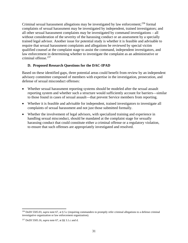Criminal sexual harassment allegations may be investigated by law enforcement;<sup>[236](#page-32-0)</sup> formal complaints of sexual harassment may be investigated by independent, trained investigators; and all other sexual harassment complaints may be investigated by command investigations – all without consideration of the severity of the harassing conduct or an assessment by a specially trained legal advisor. Another issue for potential study is whether it is feasible and advisable to require that sexual harassment complaints and allegations be reviewed by special victim qualified counsel at the complaint stage to assist the command, independent investigators, and law enforcement in determining whether to investigate the complaint as an administrative or criminal offense.<sup>237</sup>

# **D. Proposed Research Questions for the DAC-IPAD**

Based on these identified gaps, three potential areas could benefit from review by an independent advisory committee composed of members with expertise in the investigation, prosecution, and defense of sexual misconduct offenses:

- Whether sexual harassment reporting systems should be modeled after the sexual assault reporting system and whether such a structure would sufficiently account for barriers—similar to those found in cases of sexual assault—that prevent Service members from reporting.
- Whether it is feasible and advisable for independent, trained investigators to investigate all complaints of sexual harassment and not just those submitted formally.
- Whether the involvement of legal advisors, with specialized training and experience in handling sexual misconduct, should be mandated at the complaint stage for sexually harassing conduct that could constitute either a criminal offense or a regulatory violation, to ensure that such offenses are appropriately investigated and resolved.

l

<span id="page-32-0"></span><sup>236</sup> DoDI 5505.03, *supra* note 67, at § 5.c (requiring commanders to promptly refer criminal allegations to a defense criminal investigative organization or law enforcement organization).

<span id="page-32-1"></span><sup>237</sup> DoDI 5505.16, *supra* note 67, at §§ 3.1.c and d.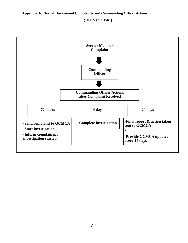# **Appendix A. Sexual Harassment Complaints and Commanding Officer Actions**

**(10 U.S.C. § 1561)** 

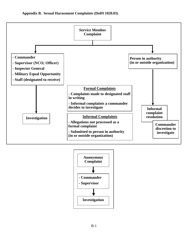

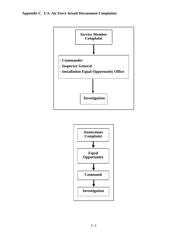

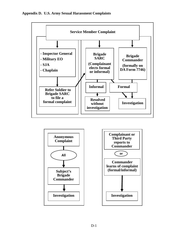

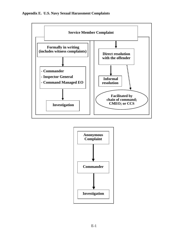

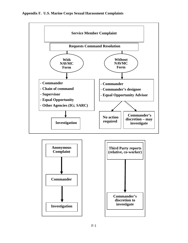

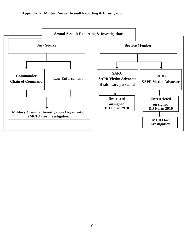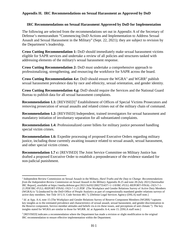# **Appendix H. IRC Recommendations on Sexual Harassment as Approved by DoD**

# **IRC Recommendations on Sexual Harassment Approved by DoD for Implementation**

The following are selected from the recommendations set out in Appendix A of the Secretary of Defense's memorandum "Commencing DoD Actions and Implementation to Address Sexual Assault and Sexual Harassment in the Military" (Sept. 22, 2021); they are subject to revision by the Department's leadership.

**Cross Cutting Recommendation 1:** DoD should immediately make sexual harassment victims eligible for SAPR services and undertake a review of all policies and structures tasked with addressing elements of the military's sexual harassment response.

**Cross Cutting Recommendation 2:** DoD must undertake a comprehensive approach to professionalizing, strengthening, and resourcing the workforce for SAPR across the board.

**Cross Cutting Recommendation 4.e:** DoD should ensure the  $WGRA<sup>1</sup>$  $WGRA<sup>1</sup>$  $WGRA<sup>1</sup>$  and  $WGRR<sup>2</sup>$  $WGRR<sup>2</sup>$  $WGRR<sup>2</sup>$  publish sexual harassment prevalence data by race and ethnicity, sexual orientation, and gender identity.

**Cross Cutting Recommendation 4.g:** DoD should require the Services and the National Guard Bureau to publish data for all sexual harassment complaints.

**Recommendation 1.1:** [REVISED] [3](#page-40-2) Establishment of Offices of Special Victims Prosecutors and removing prosecution of sexual assaults and related crimes out of the military chain of command.

**Recommendation 1.2:** [REVISED] Independent, trained investigators for sexual harassment and mandatory initiation of involuntary separation for all substantiated complaints.

**Recommendation 1.4:** Professionalized career billets for military justice personnel handling special victim crimes.

**Recommendation 1.6:** Expedite processing of proposed Executive Orders regarding military justice, including those currently awaiting issuance related to sexual assault, sexual harassment, and other special victim crimes.

**Recommendation 1.7 c:** [REVISED] The Joint Service Committee on Military Justice has drafted a proposed Executive Order to establish a preponderance of the evidence standard for non-judicial punishment.

<span id="page-40-0"></span><sup>1</sup> Independent Review Commission on Sexual Assault in the Military, *Hard Truths and the Duty to Change: Recommendations from the Independent Review Commission on Sexual Assault in the Military* Appendix B-25 and note 28 (July 2021) [hereinafter IRC Report], *available at* [https://media.defense.gov/2021/Jul/02/2002755437/-1/-1/0/IRC-FULL-REPORT-FINAL-1923-7-1-](https://media.defense.gov/2021/Jul/02/2002755437/-1/-1/0/IRC-FULL-REPORT-FINAL-1923-7-1-21.PDF/IRC-FULL-REPORT-FINAL-1923-7-1-21.PDF) [21.PDF/IRC-FULL-REPORT-FINAL-1923-7-1-21.PDF](https://media.defense.gov/2021/Jul/02/2002755437/-1/-1/0/IRC-FULL-REPORT-FINAL-1923-7-1-21.PDF/IRC-FULL-REPORT-FINAL-1923-7-1-21.PDF) (The Workplace and Gender Relations Survey of Active Duty Members (WGRA) is "[c]onducted by the DoD Office of People Analytics as part of congressionally mandated gender relations surveys of active duty members. See Title 10 U.S. Code Section 481."). [Defense Legal Services Agency (DSLA) staff note.]

<span id="page-40-1"></span><sup>&</sup>lt;sup>2</sup> *Id.* at App. A-4, note 15 (The Workplace and Gender Relations Survey of Reserve Component Members (WGRR) "captures" key insights as to the estimated prevalence and characteristics of sexual assault, sexual harassment, and gender discrimination in the Reserve component, Service member attitudes and beliefs vis-à-vis these issues, and perceptions of unit climate.") The key insights stated for WGRA are similar to those for WGRR. *Id*. at Appendix A-4, note 15. [DSLA staff note.]

<span id="page-40-2"></span><sup>&</sup>lt;sup>3</sup> [REVISED] indicates a recommendation where the Department has made a revision or slight modification to the original IRC recommendation to ensure effective implementation within the Department.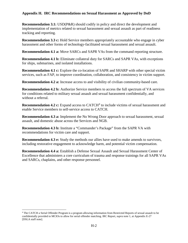# **Appendix H. IRC Recommendations on Sexual Harassment as Approved by DoD**

**Recommendation 3.1:** USD(P&R) should codify in policy and direct the development and implementation of metrics related to sexual harassment and sexual assault as part of readiness tracking and reporting.

**Recommendation 3.3 c:** Hold Service members appropriately accountable who engage in cyber harassment and other forms of technology-facilitated sexual harassment and sexual assault.

**Recommendation 4.1 a:** Move SARCs and SAPR VAs from the command reporting structure.

**Recommendation 4.1 b:** Eliminate collateral duty for SARCs and SAPR VAs, with exceptions for ships, submarines, and isolated installations.

**Recommendation 4.1 c:** Explore the co-location of SAPR and SHARP with other special victim services, such as FAP, to improve coordination, collaboration, and consistency in victim support.

**Recommendation 4.2 a:** Increase access to and visibility of civilian community-based care.

**Recommendation 4.2 b:** Authorize Service members to access the full spectrum of VA services for conditions related to military sexual assault and sexual harassment confidentially, and without a referral.

**Recommendation [4](#page-41-0).2 c:** Expand access to CATCH<sup>4</sup> to include victims of sexual harassment and enable Service members to self-service access to CATCH.

**Recommendation 4.3 a:** Implement the No Wrong Door approach to sexual harassment, sexual assault, and domestic abuse across the Services and NGB.

**Recommendation 4.3 b:** Institute a "Commander's Package" from the SAPR VA with recommendations for victim care and support.

**Recommendation 4.3 e:** Study the methods our allies have used to make amends to survivors, including restorative engagement to acknowledge harm, and potential victim compensation.

**Recommendation 4.4 a:** Establish a Defense Sexual Assault and Sexual Harassment Center of Excellence that administers a core curriculum of trauma and response trainings for all SAPR VAs and SARCs, chaplains, and other response personnel.

<span id="page-41-0"></span><sup>4</sup> The CATCH a Serial Offender Program is a program allowing information from Restricted Reports of sexual assault to be confidentially provided to MCIOs to allow for serial offender matching. IRC Report, *supra* note 1, at Appendix E-27 [DSLA staff note].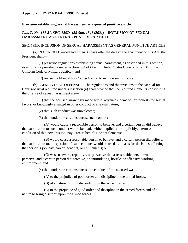# **Appendix I. FY22 NDAA § 539D Excerpt**

#### **Provision establishing sexual harassment as a general punitive article**

# *Pub. L. No. 117-81, SEC. 539D, 135 Stat. 1541 (2021)* – **INCLUSION OF SEXUAL HARASSMENT AS GENERAL PUNITIVE ARTICLE**

#### SEC. 539D. INCLUSION OF SEXUAL HARASSMENT AS GENERAL PUNITIVE ARTICLE.

(a) IN GENERAL.—Not later than 30 days after the date of the enactment of this Act, the President shall—

(1) prescribe regulations establishing sexual harassment, as described in this section, as an offense punishable under section 934 of title 10, United States Code (article 134 of the Uniform Code of Military Justice); and

(2) revise the Manual for Courts-Martial to include such offense.

(b) ELEMENTS OF OFFENSE.—The regulations and the revisions to the Manual for Courts-Martial required under subsection (a) shall provide that the required elements constituting the offense of sexual harassment are—

(1) that the accused knowingly made sexual advances, demands or requests for sexual favors, or knowingly engaged in other conduct of a sexual nature;

(2) that such conduct was unwelcome;

(3) that, under the circumstances, such conduct—

(A) would cause a reasonable person to believe, and a certain person did believe, that submission to such conduct would be made, either explicitly or implicitly, a term or condition of that person's job, pay, career, benefits, or entitlements;

(B) would cause a reasonable person to believe, and a certain person did believe, that submission to, or rejection of, such conduct would be used as a basis for decisions affecting that person's job, pay, career, benefits, or entitlements; or

(C) was so severe, repetitive, or pervasive that a reasonable person would perceive, and a certain person did perceive, an intimidating, hostile, or offensive working environment; and

(4) that, under the circumstances, the conduct of the accused was—

(A) to the prejudice of good order and discipline in the armed forces;

(B) of a nature to bring discredit upon the armed forces; or

(C) to the prejudice of good order and discipline in the armed forces and of a nature to bring discredit upon the armed forces.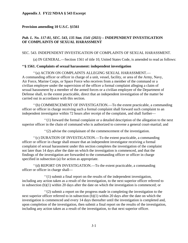#### **Appendix J. FY22 NDAA § 543 Excerpt**

#### **Provision amending 10 U.S.C. §1561**

# *Pub. L. No. 117-81, SEC. 543, 135 Stat. 1541 (2021) –* **INDEPENDENT INVESTIGATION OF COMPLAINTS OF SEXUAL HARASSMENT**

# SEC. 543. INDEPENDENT INVESTIGATION OF COMPLAINTS OF SEXUAL HARASSMENT.

(a) IN GENERAL.—Section 1561 of title 10, United States Code, is amended to read as follows:

#### **''§ 1561. Complaints of sexual harassment: independent investigation**

''(a) ACTION ON COMPLAINTS ALLEGING SEXUAL HARASSMENT.— A commanding officer or officer in charge of a unit, vessel, facility, or area of the Army, Navy, Air Force, Marine Corps, or Space Force who receives from a member of the command or a civilian employee under the supervision of the officer a formal complaint alleging a claim of sexual harassment by a member of the armed forces or a civilian employee of the Department of Defense shall, to the extent practicable, direct that an independent investigation of the matter be carried out in accordance with this section.

''(b) COMMENCEMENT OF INVESTIGATION.—To the extent practicable, a commanding officer or officer in charge receiving such a formal complaint shall forward such complaint to an independent investigator within 72 hours after receipt of the complaint, and shall further—

''(1) forward the formal complaint or a detailed description of the allegation to the next superior officer in the chain of command who is authorized to convene a general court-martial; and

''(2) advise the complainant of the commencement of the investigation.

''(c) DURATION OF INVESTIGATION.—To the extent practicable, a commanding officer or officer in charge shall ensure that an independent investigator receiving a formal complaint of sexual harassment under this section completes the investigation of the complaint not later than 14 days after the date on which the investigation is commenced, and that the findings of the investigation are forwarded to the commanding officer or officer in charge specified in subsection (a) for action as appropriate.

''(d) REPORT ON INVESTIGATION.—To the extent practicable, a commanding officer or officer in charge shall—

''(1) submit a final report on the results of the independent investigation, including any action taken as a result of the investigation, to the next superior officer referred to in subsection (b)(1) within 20 days after the date on which the investigation is commenced; or

''(2) submit a report on the progress made in completing the investigation to the next superior officer referred to in subsection (b)(1) within 20 days after the date on which the investigation is commenced and every 14 days thereafter until the investigation is completed and, upon completion of the investigation, then submit a final report on the results of the investigation, including any action taken as a result of the investigation, to that next superior officer.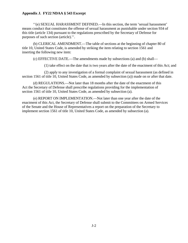# **Appendix J. FY22 NDAA § 543 Excerpt**

''(e) SEXUAL HARASSMENT DEFINED.—In this section, the term 'sexual harassment' means conduct that constitutes the offense of sexual harassment as punishable under section 934 of this title (article 134) pursuant to the regulations prescribed by the Secretary of Defense for purposes of such section (article).''.

(b) CLERICAL AMENDMENT.—The table of sections at the beginning of chapter 80 of title 10, United States Code, is amended by striking the item relating to section 1561 and inserting the following new item:

(c) EFFECTIVE DATE.—The amendments made by subsections (a) and (b) shall—

(1) take effect on the date that is two years after the date of the enactment of this Act; and

(2) apply to any investigation of a formal complaint of sexual harassment (as defined in section 1561 of title 10, United States Code, as amended by subsection (a)) made on or after that date.

(d) REGULATIONS.—Not later than 18 months after the date of the enactment of this Act the Secretary of Defense shall prescribe regulations providing for the implementation of section 1561 of title 10, United States Code, as amended by subsection (a).

(e) REPORT ON IMPLEMENTATION.—Not later than one year after the date of the enactment of this Act, the Secretary of Defense shall submit to the Committees on Armed Services of the Senate and the House of Representatives a report on the preparation of the Secretary to implement section 1561 of title 10, United States Code, as amended by subsection (a).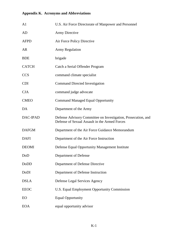# **Appendix K. Acronyms and Abbreviations**

| A <sub>1</sub> | U.S. Air Force Directorate of Manpower and Personnel                                                           |
|----------------|----------------------------------------------------------------------------------------------------------------|
| AD             | <b>Army Directive</b>                                                                                          |
| <b>AFPD</b>    | Air Force Policy Directive                                                                                     |
| <b>AR</b>      | <b>Army Regulation</b>                                                                                         |
| <b>BDE</b>     | brigade                                                                                                        |
| <b>CATCH</b>   | Catch a Serial Offender Program                                                                                |
| <b>CCS</b>     | command climate specialist                                                                                     |
| <b>CDI</b>     | <b>Command Directed Investigation</b>                                                                          |
| <b>CJA</b>     | command judge advocate                                                                                         |
| <b>CMEO</b>    | <b>Command Managed Equal Opportunity</b>                                                                       |
| DA             | Department of the Army                                                                                         |
| DAC-IPAD       | Defense Advisory Committee on Investigation, Prosecution, and<br>Defense of Sexual Assault in the Armed Forces |
| <b>DAFGM</b>   | Department of the Air Force Guidance Memorandum                                                                |
| <b>DAFI</b>    | Department of the Air Force Instruction                                                                        |
| <b>DEOMI</b>   | Defense Equal Opportunity Management Institute                                                                 |
| DoD            | Department of Defense                                                                                          |
| DoDD           | Department of Defense Directive                                                                                |
| DoDI           | Department of Defense Instruction                                                                              |
| <b>DSLA</b>    | Defense Legal Services Agency                                                                                  |
| <b>EEOC</b>    | U.S. Equal Employment Opportunity Commission                                                                   |
| EO             | <b>Equal Opportunity</b>                                                                                       |
| <b>EOA</b>     | equal opportunity advisor                                                                                      |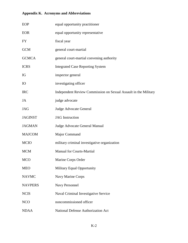# **Appendix K. Acronyms and Abbreviations**

| EOP            | equal opportunity practitioner                                  |
|----------------|-----------------------------------------------------------------|
| <b>EOR</b>     | equal opportunity representative                                |
| <b>FY</b>      | fiscal year                                                     |
| <b>GCM</b>     | general court-martial                                           |
| <b>GCMCA</b>   | general court-martial convening authority                       |
| <b>ICRS</b>    | <b>Integrated Case Reporting System</b>                         |
| IG             | inspector general                                               |
| <b>IO</b>      | investigating officer                                           |
| <b>IRC</b>     | Independent Review Commission on Sexual Assault in the Military |
| JA             | judge advocate                                                  |
| <b>JAG</b>     | Judge Advocate General                                          |
| <b>JAGINST</b> | <b>JAG</b> Instruction                                          |
| <b>JAGMAN</b>  | Judge Advocate General Manual                                   |
| <b>MAJCOM</b>  | Major Command                                                   |
| <b>MCIO</b>    | military criminal investigative organization                    |
| MCM            | <b>Manual for Courts-Martial</b>                                |
| <b>MCO</b>     | Marine Corps Order                                              |
| <b>MEO</b>     | <b>Military Equal Opportunity</b>                               |
| <b>NAVMC</b>   | Navy Marine Corps                                               |
| <b>NAVPERS</b> | Navy Personnel                                                  |
| <b>NCIS</b>    | Naval Criminal Investigative Service                            |
| <b>NCO</b>     | noncommissioned officer                                         |
| <b>NDAA</b>    | <b>National Defense Authorization Act</b>                       |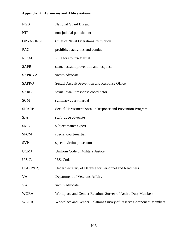# **Appendix K. Acronyms and Abbreviations**

| <b>NGB</b>       | <b>National Guard Bureau</b>                                       |
|------------------|--------------------------------------------------------------------|
| <b>NJP</b>       | non-judicial punishment                                            |
| <b>OPNAVINST</b> | Chief of Naval Operations Instruction                              |
| PAC              | prohibited activities and conduct                                  |
| R.C.M.           | <b>Rule for Courts-Martial</b>                                     |
| <b>SAPR</b>      | sexual assault prevention and response                             |
| <b>SAPR VA</b>   | victim advocate                                                    |
| <b>SAPRO</b>     | Sexual Assault Prevention and Response Office                      |
| <b>SARC</b>      | sexual assault response coordinator                                |
| <b>SCM</b>       | summary court-martial                                              |
| <b>SHARP</b>     | Sexual Harassment/Assault Response and Prevention Program          |
| <b>SJA</b>       | staff judge advocate                                               |
| <b>SME</b>       | subject matter expert                                              |
| <b>SPCM</b>      | special court-martial                                              |
| <b>SVP</b>       | special victim prosecutor                                          |
| <b>UCMJ</b>      | Uniform Code of Military Justice                                   |
| U.S.C.           | U.S. Code                                                          |
| $USD(P\&R)$      | Under Secretary of Defense for Personnel and Readiness             |
| VA               | Department of Veterans Affairs                                     |
| VA               | victim advocate                                                    |
| <b>WGRA</b>      | Workplace and Gender Relations Survey of Active Duty Members       |
| <b>WGRR</b>      | Workplace and Gender Relations Survey of Reserve Component Members |